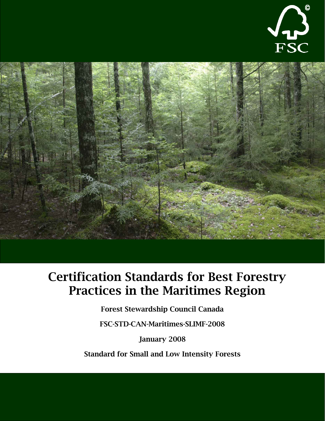



# Certification Standards for Best Forestry Practices in the Maritimes Region

Forest Stewardship Council Canada

FSC-STD-CAN-Maritimes-SLIMF-2008

January 2008

Standard for Small and Low Intensity Forests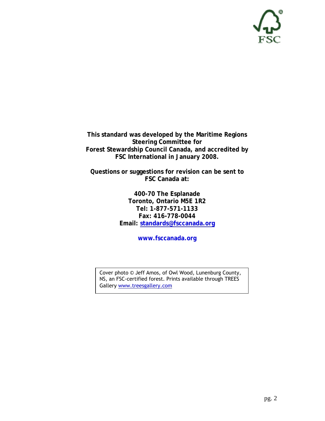

**This standard was developed by the Maritime Regions Steering Committee for Forest Stewardship Council Canada, and accredited by FSC International in January 2008.** 

**Questions or suggestions for revision can be sent to FSC Canada at:** 

> **400-70 The Esplanade Toronto, Ontario M5E 1R2 Tel: 1-877-571-1133 Fax: 416-778-0044 Email: [standards@fsccanada.org](mailto:standards@fsccanada.org)**

> > **www.fsccanada.org**

Cover photo © Jeff Amos, of Owl Wood, Lunenburg County, NS, an FSC-certified forest. Prints available through TREES Gallery [www.treesgallery.com](http://www.treesgallery.com/)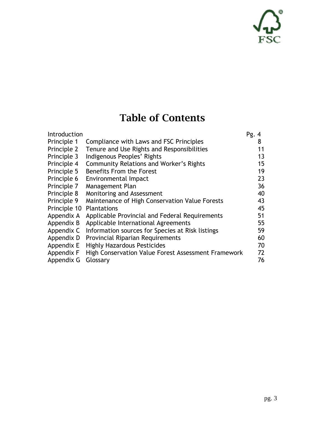# C کہہ√<br>FSC

## Table of Contents

| Introduction |                                                     | Pg.4 |
|--------------|-----------------------------------------------------|------|
| Principle 1  | Compliance with Laws and FSC Principles             | 8    |
| Principle 2  | Tenure and Use Rights and Responsibilities          | 11   |
| Principle 3  | Indigenous Peoples' Rights                          | 13   |
| Principle 4  | <b>Community Relations and Worker's Rights</b>      | 15   |
| Principle 5  | Benefits From the Forest                            | 19   |
| Principle 6  | Environmental Impact                                | 23   |
| Principle 7  | Management Plan                                     | 36   |
| Principle 8  | Monitoring and Assessment                           | 40   |
| Principle 9  | Maintenance of High Conservation Value Forests      | 43   |
| Principle 10 | <b>Plantations</b>                                  | 45   |
| Appendix A   | Applicable Provincial and Federal Requirements      | 51   |
| Appendix B   | Applicable International Agreements                 | 55   |
| Appendix C   | Information sources for Species at Risk listings    | 59   |
| Appendix D   | <b>Provincial Riparian Requirements</b>             | 60   |
| Appendix E   | <b>Highly Hazardous Pesticides</b>                  | 70   |
| Appendix F   | High Conservation Value Forest Assessment Framework | 72   |
| Appendix G   | Glossary                                            | 76   |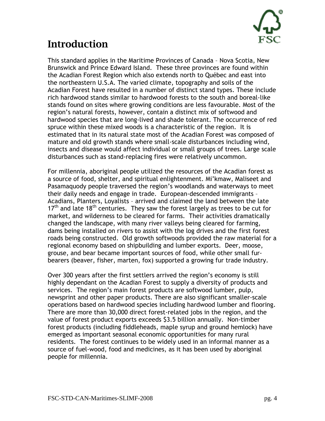

### Introduction

This standard applies in the Maritime Provinces of Canada – Nova Scotia, New Brunswick and Prince Edward Island. These three provinces are found within the Acadian Forest Region which also extends north to Québec and east into the northeastern U.S.A. The varied climate, topography and soils of the Acadian Forest have resulted in a number of distinct stand types. These include rich hardwood stands similar to hardwood forests to the south and boreal-like stands found on sites where growing conditions are less favourable. Most of the region's natural forests, however, contain a distinct mix of softwood and hardwood species that are long-lived and shade tolerant. The occurrence of red spruce within these mixed woods is a characteristic of the region. It is estimated that in its natural state most of the Acadian Forest was composed of mature and old growth stands where small-scale disturbances including wind, insects and disease would affect individual or small groups of trees. Large scale disturbances such as stand-replacing fires were relatively uncommon.

For millennia, aboriginal people utilized the resources of the Acadian forest as a source of food, shelter, and spiritual enlightenment. Mi'kmaw, Maliseet and Pasamaquody people traversed the region's woodlands and waterways to meet their daily needs and engage in trade. European-descended immigrants – Acadians, Planters, Loyalists – arrived and claimed the land between the late  $17<sup>th</sup>$  and late 18<sup>th</sup> centuries. They saw the forest largely as trees to be cut for market, and wilderness to be cleared for farms. Their activities dramatically changed the landscape, with many river valleys being cleared for farming, dams being installed on rivers to assist with the log drives and the first forest roads being constructed. Old growth softwoods provided the raw material for a regional economy based on shipbuilding and lumber exports. Deer, moose, grouse, and bear became important sources of food, while other small furbearers (beaver, fisher, marten, fox) supported a growing fur trade industry.

Over 300 years after the first settlers arrived the region's economy is still highly dependant on the Acadian Forest to supply a diversity of products and services. The region's main forest products are softwood lumber, pulp, newsprint and other paper products. There are also significant smaller-scale operations based on hardwood species including hardwood lumber and flooring. There are more than 30,000 direct forest-related jobs in the region, and the value of forest product exports exceeds \$3.5 billion annually. Non-timber forest products (including fiddleheads, maple syrup and ground hemlock) have emerged as important seasonal economic opportunities for many rural residents. The forest continues to be widely used in an informal manner as a source of fuel-wood, food and medicines, as it has been used by aboriginal people for millennia.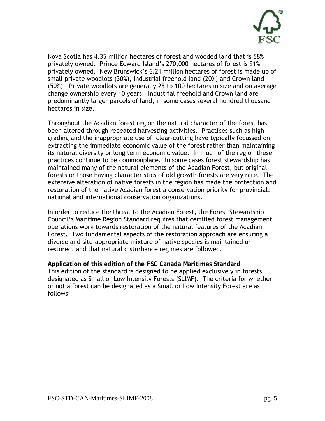

Nova Scotia has 4.35 million hectares of forest and wooded land that is 68% privately owned. Prince Edward Island's 270,000 hectares of forest is 91% privately owned. New Brunswick's 6.21 million hectares of forest is made up of small private woodlots (30%), industrial freehold land (20%) and Crown land (50%). Private woodlots are generally 25 to 100 hectares in size and on average change ownership every 10 years. Industrial freehold and Crown land are predominantly larger parcels of land, in some cases several hundred thousand hectares in size.

Throughout the Acadian forest region the natural character of the forest has been altered through repeated harvesting activities. Practices such as high grading and the inappropriate use of clear-cutting have typically focussed on extracting the immediate economic value of the forest rather than maintaining its natural diversity or long term economic value. In much of the region these practices continue to be commonplace. In some cases forest stewardship has maintained many of the natural elements of the Acadian Forest, but original forests or those having characteristics of old growth forests are very rare. The extensive alteration of native forests in the region has made the protection and restoration of the native Acadian forest a conservation priority for provincial, national and international conservation organizations.

In order to reduce the threat to the Acadian Forest, the Forest Stewardship Council's Maritime Region Standard requires that certified forest management operations work towards restoration of the natural features of the Acadian Forest. Two fundamental aspects of the restoration approach are ensuring a diverse and site-appropriate mixture of native species is maintained or restored, and that natural disturbance regimes are followed.

**Application of this edition of the FSC Canada Maritimes Standard** This edition of the standard is designed to be applied exclusively in forests designated as Small or Low Intensity Forests (SLIMF). The criteria for whether or not a forest can be designated as a Small or Low Intensity Forest are as follows: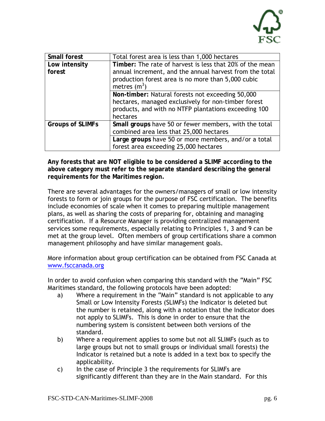

| Small forest            | Total forest area is less than 1,000 hectares            |
|-------------------------|----------------------------------------------------------|
| Low intensity           | Timber: The rate of harvest is less that 20% of the mean |
| forest                  | annual increment, and the annual harvest from the total  |
|                         | production forest area is no more than 5,000 cubic       |
|                         | metres $(m^3)$                                           |
|                         | Non-timber: Natural forests not exceeding 50,000         |
|                         | hectares, managed exclusively for non-timber forest      |
|                         | products, and with no NTFP plantations exceeding 100     |
|                         | hectares                                                 |
| <b>Groups of SLIMFs</b> | Small groups have 50 or fewer members, with the total    |
|                         | combined area less that 25,000 hectares                  |
|                         | Large groups have 50 or more members, and/or a total     |
|                         | forest area exceeding 25,000 hectares                    |

**Any forests that are NOT eligible to be considered a SLIMF according to the above category must refer to the separate standard describing the general requirements for the Maritimes region.** 

There are several advantages for the owners/managers of small or low intensity forests to form or join groups for the purpose of FSC certification. The benefits include economies of scale when it comes to preparing multiple management plans, as well as sharing the costs of preparing for, obtaining and managing certification. If a Resource Manager is providing centralized management services some requirements, especially relating to Principles 1, 3 and 9 can be met at the group level. Often members of group certifications share a common management philosophy and have similar management goals.

More information about group certification can be obtained from FSC Canada at [www.fsccanada.org](http://www.fsccanada.org/)

In order to avoid confusion when comparing this standard with the "Main" FSC Maritimes standard, the following protocols have been adopted:

- a) Where a requirement in the "Main" standard is not applicable to any Small or Low Intensity Forests (SLIMFs) the Indicator is deleted but the number is retained, along with a notation that the Indicator does not apply to SLIMFs. This is done in order to ensure that the numbering system is consistent between both versions of the standard.
- b) Where a requirement applies to some but not all SLIMFs (such as to large groups but not to small groups or individual small forests) the Indicator is retained but a note is added in a text box to specify the applicability.
- c) In the case of Principle 3 the requirements for SLIMFs are significantly different than they are in the Main standard. For this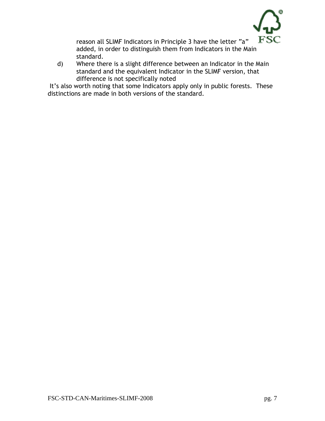

reason all SLIMF Indicators in Principle 3 have the letter "a" added, in order to distinguish them from Indicators in the Main standard.

d) Where there is a slight difference between an Indicator in the Main standard and the equivalent Indicator in the SLIMF version, that difference is not specifically noted

 It's also worth noting that some Indicators apply only in public forests. These distinctions are made in both versions of the standard.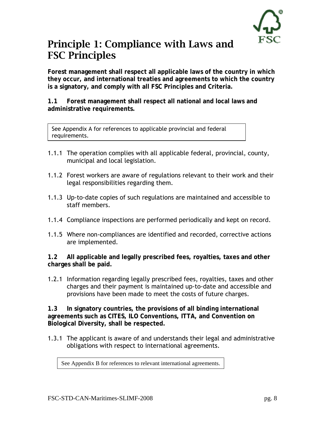#### Principle 1: Compliance with Laws and FSC Principles

**Forest management shall respect all applicable laws of the country in which they occur, and international treaties and agreements to which the country is a signatory, and comply with all FSC Principles and Criteria.** 

**1.1 Forest management shall respect all national and local laws and administrative requirements.** 

See Appendix A for references to applicable provincial and federal requirements.

- 1.1.1 The operation complies with all applicable federal, provincial, county, municipal and local legislation.
- 1.1.2 Forest workers are aware of regulations relevant to their work and their legal responsibilities regarding them.
- 1.1.3 Up-to-date copies of such regulations are maintained and accessible to staff members.
- 1.1.4 Compliance inspections are performed periodically and kept on record.
- 1.1.5 Where non-compliances are identified and recorded, corrective actions are implemented.

**1.2 All applicable and legally prescribed fees, royalties, taxes and other charges shall be paid.** 

1.2.1 Information regarding legally prescribed fees, royalties, taxes and other charges and their payment is maintained up-to-date and accessible and provisions have been made to meet the costs of future charges.

**1.3 In signatory countries, the provisions of all binding international agreements such as CITES, ILO Conventions, ITTA, and Convention on Biological Diversity, shall be respected.** 

1.3.1 The applicant is aware of and understands their legal and administrative obligations with respect to international agreements.

See Appendix B for references to relevant international agreements.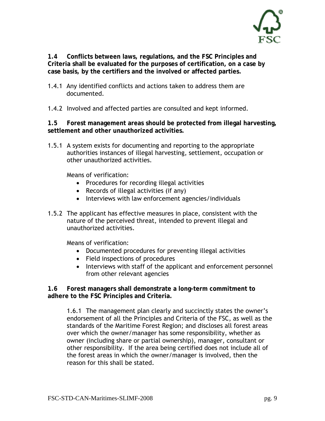

**1.4 Conflicts between laws, regulations, and the FSC Principles and Criteria shall be evaluated for the purposes of certification, on a case by case basis, by the certifiers and the involved or affected parties.** 

- 1.4.1 Any identified conflicts and actions taken to address them are documented.
- 1.4.2 Involved and affected parties are consulted and kept informed.

**1.5 Forest management areas should be protected from illegal harvesting, settlement and other unauthorized activities.** 

1.5.1 A system exists for documenting and reporting to the appropriate authorities instances of illegal harvesting, settlement, occupation or other unauthorized activities.

Means of verification:

- Procedures for recording illegal activities
- Records of illegal activities (if any)
- Interviews with law enforcement agencies/individuals
- 1.5.2 The applicant has effective measures in place, consistent with the nature of the perceived threat, intended to prevent illegal and unauthorized activities.

Means of verification:

- Documented procedures for preventing illegal activities
- Field inspections of procedures
- Interviews with staff of the applicant and enforcement personnel from other relevant agencies

**1.6 Forest managers shall demonstrate a long-term commitment to adhere to the FSC Principles and Criteria.** 

1.6.1 The management plan clearly and succinctly states the owner's endorsement of all the Principles and Criteria of the FSC, as well as the standards of the Maritime Forest Region; and discloses all forest areas over which the owner/manager has some responsibility, whether as owner (including share or partial ownership), manager, consultant or other responsibility. If the area being certified does not include all of the forest areas in which the owner/manager is involved, then the reason for this shall be stated.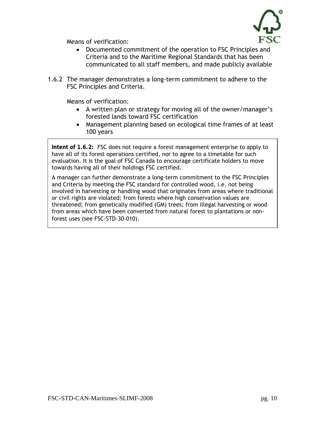

- Documented commitment of the operation to FSC Principles and Criteria and to the Maritime Regional Standards that has been communicated to all staff members, and made publicly available
- 1.6.2 The manager demonstrates a long-term commitment to adhere to the FSC Principles and Criteria.

Means of verification:

- A written plan or strategy for moving all of the owner/manager's forested lands toward FSC certification
- Management planning based on ecological time frames of at least 100 years

**Intent of 1.6.2:** FSC does not require a forest management enterprise to apply to have all of its forest operations certified, nor to agree to a timetable for such evaluation. It is the goal of FSC Canada to encourage certificate holders to move towards having all of their holdings FSC certified.

A manager can further demonstrate a long-term commitment to the FSC Principles and Criteria by meeting the FSC standard for controlled wood, i.e. not being involved in harvesting or handling wood that originates from areas where traditional or civil rights are violated; from forests where high conservation values are threatened; from genetically modified (GM) trees; from illegal harvesting or wood from areas which have been converted from natural forest to plantations or nonforest uses (see FSC-STD-30-010).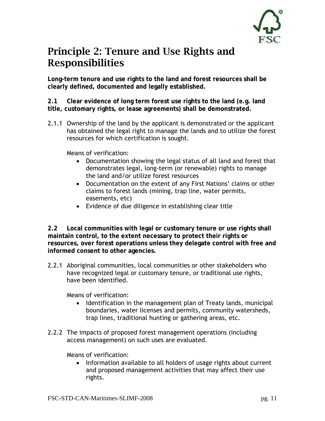

#### Principle 2: Tenure and Use Rights and Responsibilities

**Long-term tenure and use rights to the land and forest resources shall be clearly defined, documented and legally established.** 

**2.1 Clear evidence of long term forest use rights to the land (e.g. land title, customary rights, or lease agreements) shall be demonstrated.** 

2.1.1 Ownership of the land by the applicant is demonstrated or the applicant has obtained the legal right to manage the lands and to utilize the forest resources for which certification is sought.

Means of verification:

- Documentation showing the legal status of all land and forest that demonstrates legal, long-term (or renewable) rights to manage the land and/or utilize forest resources
- Documentation on the extent of any First Nations' claims or other claims to forest lands (mining, trap line, water permits, easements, etc)
- Evidence of due diligence in establishing clear title

**2.2 Local communities with legal or customary tenure or use rights shall maintain control, to the extent necessary to protect their rights or resources, over forest operations unless they delegate control with free and informed consent to other agencies.** 

2.2.1 Aboriginal communities, local communities or other stakeholders who have recognized legal or customary tenure, or traditional use rights, have been identified.

Means of verification:

- Identification in the management plan of Treaty lands, municipal boundaries, water licenses and permits, community watersheds, trap lines, traditional hunting or gathering areas, etc.
- 2.2.2 The impacts of proposed forest management operations (including access management) on such uses are evaluated.

Means of verification:

• Information available to all holders of usage rights about current and proposed management activities that may affect their use rights.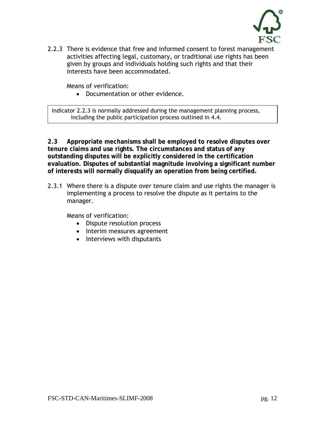

2.2.3 There is evidence that free and informed consent to forest management activities affecting legal, customary, or traditional use rights has been given by groups and individuals holding such rights and that their interests have been accommodated.

Means of verification:

• Documentation or other evidence.

Indicator 2.2.3 is normally addressed during the management planning process, including the public participation process outlined in 4.4.

**2.3 Appropriate mechanisms shall be employed to resolve disputes over tenure claims and use rights. The circumstances and status of any outstanding disputes will be explicitly considered in the certification evaluation. Disputes of substantial magnitude involving a significant number of interests will normally disqualify an operation from being certified.** 

2.3.1 Where there is a dispute over tenure claim and use rights the manager is implementing a process to resolve the dispute as it pertains to the manager.

- Dispute resolution process
- Interim measures agreement
- Interviews with disputants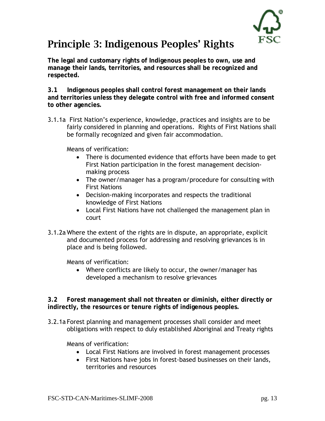

### Principle 3: Indigenous Peoples' Rights

**The legal and customary rights of Indigenous peoples to own, use and manage their lands, territories, and resources shall be recognized and respected.** 

**3.1 Indigenous peoples shall control forest management on their lands and territories unless they delegate control with free and informed consent to other agencies.** 

3.1.1a First Nation's experience, knowledge, practices and insights are to be fairly considered in planning and operations. Rights of First Nations shall be formally recognized and given fair accommodation.

Means of verification:

- There is documented evidence that efforts have been made to get First Nation participation in the forest management decisionmaking process
- The owner/manager has a program/procedure for consulting with First Nations
- Decision-making incorporates and respects the traditional knowledge of First Nations
- Local First Nations have not challenged the management plan in court
- 3.1.2a Where the extent of the rights are in dispute, an appropriate, explicit and documented process for addressing and resolving grievances is in place and is being followed.

Means of verification:

• Where conflicts are likely to occur, the owner/manager has developed a mechanism to resolve grievances

**3.2 Forest management shall not threaten or diminish, either directly or indirectly, the resources or tenure rights of indigenous peoples.** 

3.2.1a Forest planning and management processes shall consider and meet obligations with respect to duly established Aboriginal and Treaty rights

- Local First Nations are involved in forest management processes
- First Nations have jobs in forest-based businesses on their lands, territories and resources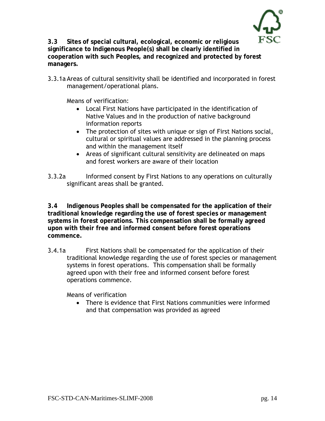

**3.3 Sites of special cultural, ecological, economic or religious significance to Indigenous People(s) shall be clearly identified in cooperation with such Peoples, and recognized and protected by forest managers.** 

3.3.1a Areas of cultural sensitivity shall be identified and incorporated in forest management/operational plans.

Means of verification:

- Local First Nations have participated in the identification of Native Values and in the production of native background information reports
- The protection of sites with unique or sign of First Nations social, cultural or spiritual values are addressed in the planning process and within the management itself
- Areas of significant cultural sensitivity are delineated on maps and forest workers are aware of their location

3.3.2a Informed consent by First Nations to any operations on culturally significant areas shall be granted.

**3.4 Indigenous Peoples shall be compensated for the application of their traditional knowledge regarding the use of forest species or management systems in forest operations. This compensation shall be formally agreed upon with their free and informed consent before forest operations commence.** 

3.4.1a First Nations shall be compensated for the application of their traditional knowledge regarding the use of forest species or management systems in forest operations. This compensation shall be formally agreed upon with their free and informed consent before forest operations commence.

Means of verification

• There is evidence that First Nations communities were informed and that compensation was provided as agreed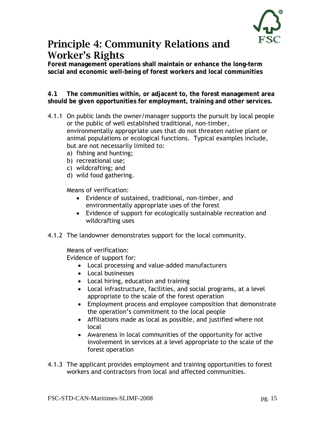#### Principle 4: Community Relations and Worker's Rights

**Forest management operations shall maintain or enhance the long-term social and economic well-being of forest workers and local communities** 

**4.1 The communities within, or adjacent to, the forest management area should be given opportunities for employment, training and other services.** 

- 4.1.1 On public lands the owner/manager supports the pursuit by local people or the public of well established traditional, non-timber, environmentally appropriate uses that do not threaten native plant or animal populations or ecological functions. Typical examples include, but are not necessarily limited to:
	- a) fishing and hunting;
	- b) recreational use;
	- c) wildcrafting; and
	- d) wild food gathering.

Means of verification:

- Evidence of sustained, traditional, non-timber, and environmentally appropriate uses of the forest
- Evidence of support for ecologically sustainable recreation and wildcrafting uses
- 4.1.2 The landowner demonstrates support for the local community.

Means of verification:

Evidence of support for:

- Local processing and value-added manufacturers
- Local businesses
- Local hiring, education and training
- Local infrastructure, facilities, and social programs, at a level appropriate to the scale of the forest operation
- Employment process and employee composition that demonstrate the operation's commitment to the local people
- Affiliations made as local as possible, and justified where not local
- Awareness in local communities of the opportunity for active involvement in services at a level appropriate to the scale of the forest operation
- 4.1.3 The applicant provides employment and training opportunities to forest workers and contractors from local and affected communities.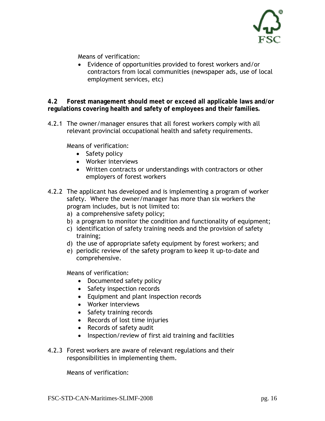

• Evidence of opportunities provided to forest workers and/or contractors from local communities (newspaper ads, use of local employment services, etc)

**4.2 Forest management should meet or exceed all applicable laws and/or regulations covering health and safety of employees and their families.**

4.2.1 The owner/manager ensures that all forest workers comply with all relevant provincial occupational health and safety requirements.

Means of verification:

- Safety policy
- Worker interviews
- Written contracts or understandings with contractors or other employers of forest workers
- 4.2.2 The applicant has developed and is implementing a program of worker safety. Where the owner/manager has more than six workers the program includes, but is not limited to:
	- a) a comprehensive safety policy;
	- b) a program to monitor the condition and functionality of equipment;
	- c) identification of safety training needs and the provision of safety training;
	- d) the use of appropriate safety equipment by forest workers; and
	- e) periodic review of the safety program to keep it up-to-date and comprehensive.

Means of verification:

- Documented safety policy
- Safety inspection records
- Equipment and plant inspection records
- Worker interviews
- Safety training records
- Records of lost time injuries
- Records of safety audit
- Inspection/review of first aid training and facilities
- 4.2.3 Forest workers are aware of relevant regulations and their responsibilities in implementing them.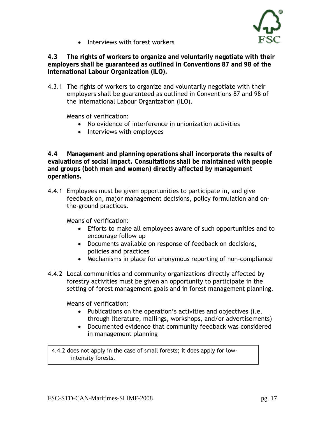

• Interviews with forest workers

**4.3 The rights of workers to organize and voluntarily negotiate with their employers shall be guaranteed as outlined in Conventions 87 and 98 of the International Labour Organization (ILO).** 

4.3.1 The rights of workers to organize and voluntarily negotiate with their employers shall be guaranteed as outlined in Conventions 87 and 98 of the International Labour Organization (ILO).

Means of verification:

- No evidence of interference in unionization activities
- Interviews with employees

**4.4 Management and planning operations shall incorporate the results of evaluations of social impact. Consultations shall be maintained with people and groups (both men and women) directly affected by management operations.** 

4.4.1 Employees must be given opportunities to participate in, and give feedback on, major management decisions, policy formulation and onthe-ground practices.

Means of verification:

- Efforts to make all employees aware of such opportunities and to encourage follow up
- Documents available on response of feedback on decisions, policies and practices
- Mechanisms in place for anonymous reporting of non-compliance
- 4.4.2 Local communities and community organizations directly affected by forestry activities must be given an opportunity to participate in the setting of forest management goals and in forest management planning.

Means of verification:

- Publications on the operation's activities and objectives (i.e. through literature, mailings, workshops, and/or advertisements)
- Documented evidence that community feedback was considered in management planning

4.4.2 does not apply in the case of small forests; it does apply for lowintensity forests.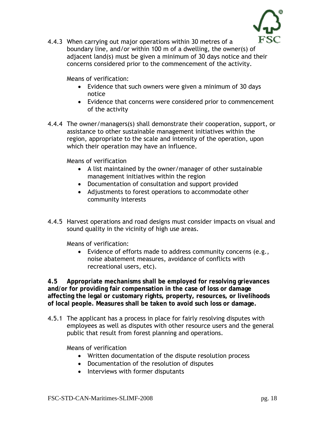

4.4.3 When carrying out major operations within 30 metres of a boundary line, and/or within 100 m of a dwelling, the owner(s) of adjacent land(s) must be given a minimum of 30 days notice and their concerns considered prior to the commencement of the activity.

Means of verification:

- Evidence that such owners were given a minimum of 30 days notice
- Evidence that concerns were considered prior to commencement of the activity
- 4.4.4 The owner/managers(s) shall demonstrate their cooperation, support, or assistance to other sustainable management initiatives within the region, appropriate to the scale and intensity of the operation, upon which their operation may have an influence.

Means of verification

- A list maintained by the owner/manager of other sustainable management initiatives within the region
- Documentation of consultation and support provided
- Adjustments to forest operations to accommodate other community interests
- 4.4.5 Harvest operations and road designs must consider impacts on visual and sound quality in the vicinity of high use areas.

Means of verification:

• Evidence of efforts made to address community concerns (e.g., noise abatement measures, avoidance of conflicts with recreational users, etc).

**4.5 Appropriate mechanisms shall be employed for resolving grievances and/or for providing fair compensation in the case of loss or damage affecting the legal or customary rights, property, resources, or livelihoods of local people. Measures shall be taken to avoid such loss or damage.** 

4.5.1 The applicant has a process in place for fairly resolving disputes with employees as well as disputes with other resource users and the general public that result from forest planning and operations.

- Written documentation of the dispute resolution process
- Documentation of the resolution of disputes
- Interviews with former disputants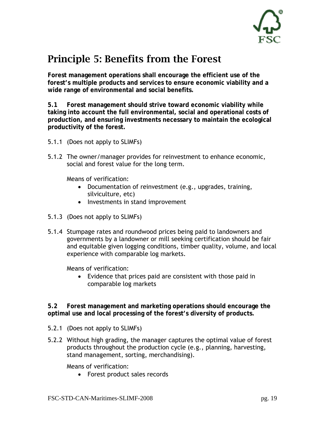

#### Principle 5: Benefits from the Forest

**Forest management operations shall encourage the efficient use of the forest's multiple products and services to ensure economic viability and a wide range of environmental and social benefits.** 

**5.1 Forest management should strive toward economic viability while taking into account the full environmental, social and operational costs of production, and ensuring investments necessary to maintain the ecological productivity of the forest.** 

- 5.1.1 (Does not apply to SLIMFs)
- 5.1.2 The owner/manager provides for reinvestment to enhance economic, social and forest value for the long term.

Means of verification:

- Documentation of reinvestment (e.g., upgrades, training, silviculture, etc)
- Investments in stand improvement
- 5.1.3 (Does not apply to SLIMFs)
- 5.1.4 Stumpage rates and roundwood prices being paid to landowners and governments by a landowner or mill seeking certification should be fair and equitable given logging conditions, timber quality, volume, and local experience with comparable log markets.

Means of verification:

• Evidence that prices paid are consistent with those paid in comparable log markets

**5.2 Forest management and marketing operations should encourage the optimal use and local processing of the forest's diversity of products.** 

- 5.2.1 (Does not apply to SLIMFs)
- 5.2.2 Without high grading, the manager captures the optimal value of forest products throughout the production cycle (e.g., planning, harvesting, stand management, sorting, merchandising).

Means of verification:

• Forest product sales records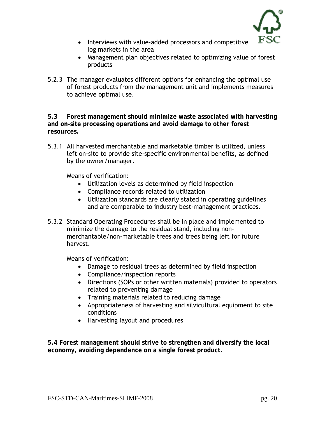

- Interviews with value-added processors and competitive log markets in the area
- Management plan objectives related to optimizing value of forest products
- 5.2.3 The manager evaluates different options for enhancing the optimal use of forest products from the management unit and implements measures to achieve optimal use.

**5.3 Forest management should minimize waste associated with harvesting and on-site processing operations and avoid damage to other forest resources.** 

5.3.1 All harvested merchantable and marketable timber is utilized, unless left on-site to provide site-specific environmental benefits, as defined by the owner/manager.

Means of verification:

- Utilization levels as determined by field inspection
- Compliance records related to utilization
- Utilization standards are clearly stated in operating guidelines and are comparable to industry best-management practices.
- 5.3.2 Standard Operating Procedures shall be in place and implemented to minimize the damage to the residual stand, including nonmerchantable/non-marketable trees and trees being left for future harvest.

Means of verification:

- Damage to residual trees as determined by field inspection
- Compliance/inspection reports
- Directions (SOPs or other written materials) provided to operators related to preventing damage
- Training materials related to reducing damage
- Appropriateness of harvesting and silvicultural equipment to site conditions
- Harvesting layout and procedures

**5.4 Forest management should strive to strengthen and diversify the local economy, avoiding dependence on a single forest product.**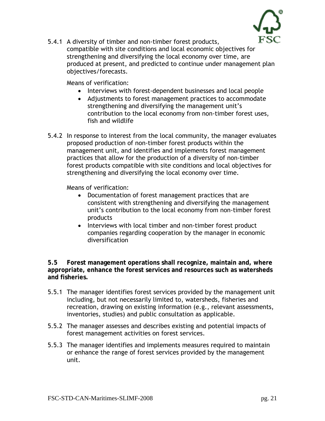

5.4.1 A diversity of timber and non-timber forest products, compatible with site conditions and local economic objectives for strengthening and diversifying the local economy over time, are produced at present, and predicted to continue under management plan objectives/forecasts.

Means of verification:

- Interviews with forest-dependent businesses and local people
- Adjustments to forest management practices to accommodate strengthening and diversifying the management unit's contribution to the local economy from non-timber forest uses, fish and wildlife
- 5.4.2 In response to interest from the local community, the manager evaluates proposed production of non-timber forest products within the management unit, and identifies and implements forest management practices that allow for the production of a diversity of non-timber forest products compatible with site conditions and local objectives for strengthening and diversifying the local economy over time.

Means of verification:

- Documentation of forest management practices that are consistent with strengthening and diversifying the management unit's contribution to the local economy from non-timber forest products
- Interviews with local timber and non-timber forest product companies regarding cooperation by the manager in economic diversification

**5.5 Forest management operations shall recognize, maintain and, where appropriate, enhance the forest services and resources such as watersheds and fisheries.** 

- 5.5.1 The manager identifies forest services provided by the management unit including, but not necessarily limited to, watersheds, fisheries and recreation, drawing on existing information (e.g., relevant assessments, inventories, studies) and public consultation as applicable.
- 5.5.2 The manager assesses and describes existing and potential impacts of forest management activities on forest services.
- 5.5.3 The manager identifies and implements measures required to maintain or enhance the range of forest services provided by the management unit.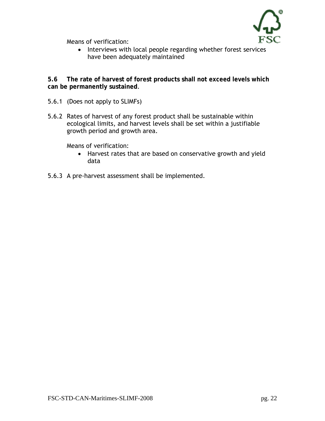

• Interviews with local people regarding whether forest services have been adequately maintained

**5.6 The rate of harvest of forest products shall not exceed levels which can be permanently sustained**.

- 5.6.1 (Does not apply to SLIMFs)
- 5.6.2 Rates of harvest of any forest product shall be sustainable within ecological limits, and harvest levels shall be set within a justifiable growth period and growth area.

- Harvest rates that are based on conservative growth and yield data
- 5.6.3 A pre-harvest assessment shall be implemented.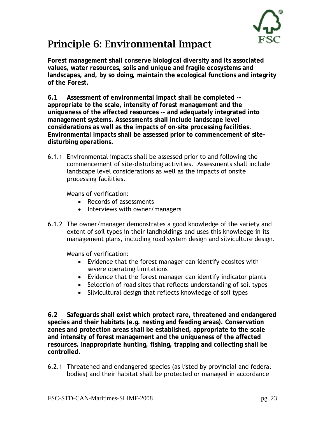

#### Principle 6: Environmental Impact

**Forest management shall conserve biological diversity and its associated values, water resources, soils and unique and fragile ecosystems and landscapes, and, by so doing, maintain the ecological functions and integrity of the Forest.** 

**6.1 Assessment of environmental impact shall be completed - appropriate to the scale, intensity of forest management and the uniqueness of the affected resources -- and adequately integrated into management systems. Assessments shall include landscape level considerations as well as the impacts of on-site processing facilities. Environmental impacts shall be assessed prior to commencement of sitedisturbing operations.** 

6.1.1 Environmental impacts shall be assessed prior to and following the commencement of site-disturbing activities. Assessments shall include landscape level considerations as well as the impacts of onsite processing facilities.

Means of verification:

- Records of assessments
- Interviews with owner/managers
- 6.1.2 The owner/manager demonstrates a good knowledge of the variety and extent of soil types in their landholdings and uses this knowledge in its management plans, including road system design and silviculture design.

Means of verification:

- Evidence that the forest manager can identify ecosites with severe operating limitations
- Evidence that the forest manager can identify indicator plants
- Selection of road sites that reflects understanding of soil types
- Silvicultural design that reflects knowledge of soil types

**6.2 Safeguards shall exist which protect rare, threatened and endangered species and their habitats (e.g. nesting and feeding areas). Conservation zones and protection areas shall be established, appropriate to the scale and intensity of forest management and the uniqueness of the affected resources. Inappropriate hunting, fishing, trapping and collecting shall be controlled.** 

6.2.1 Threatened and endangered species (as listed by provincial and federal bodies) and their habitat shall be protected or managed in accordance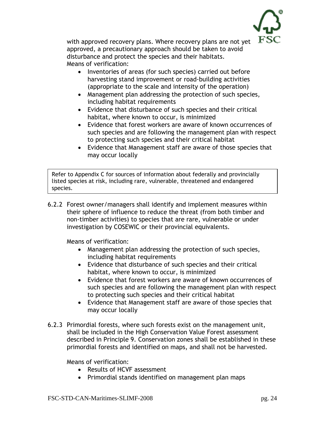

with approved recovery plans. Where recovery plans are not yet approved, a precautionary approach should be taken to avoid disturbance and protect the species and their habitats. Means of verification:

- Inventories of areas (for such species) carried out before harvesting stand improvement or road-building activities (appropriate to the scale and intensity of the operation)
- Management plan addressing the protection of such species, including habitat requirements
- Evidence that disturbance of such species and their critical habitat, where known to occur, is minimized
- Evidence that forest workers are aware of known occurrences of such species and are following the management plan with respect to protecting such species and their critical habitat
- Evidence that Management staff are aware of those species that may occur locally

Refer to Appendix C for sources of information about federally and provincially listed species at risk, including rare, vulnerable, threatened and endangered species.

6.2.2 Forest owner/managers shall identify and implement measures within their sphere of influence to reduce the threat (from both timber and non-timber activities) to species that are rare, vulnerable or under investigation by COSEWIC or their provincial equivalents.

Means of verification:

- Management plan addressing the protection of such species, including habitat requirements
- Evidence that disturbance of such species and their critical habitat, where known to occur, is minimized
- Evidence that forest workers are aware of known occurrences of such species and are following the management plan with respect to protecting such species and their critical habitat
- Evidence that Management staff are aware of those species that may occur locally
- 6.2.3 Primordial forests, where such forests exist on the management unit, shall be included in the High Conservation Value Forest assessment described in Principle 9. Conservation zones shall be established in these primordial forests and identified on maps, and shall not be harvested.

- Results of HCVF assessment
- Primordial stands identified on management plan maps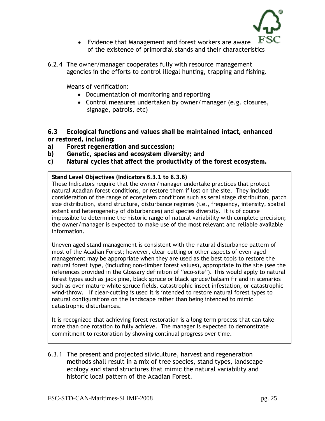

- Evidence that Management and forest workers are aware of the existence of primordial stands and their characteristics
- 6.2.4 The owner/manager cooperates fully with resource management agencies in the efforts to control illegal hunting, trapping and fishing.

- Documentation of monitoring and reporting
- Control measures undertaken by owner/manager (e.g. closures, signage, patrols, etc)

**6.3 Ecological functions and values shall be maintained intact, enhanced or restored, including:**

- **a) Forest regeneration and succession;**
- **b) Genetic, species and ecosystem diversity; and**
- **c) Natural cycles that affect the productivity of the forest ecosystem.**

**Stand Level Objectives (Indicators 6.3.1 to 6.3.6)**

These Indicators require that the owner/manager undertake practices that protect natural Acadian forest conditions, or restore them if lost on the site. They include consideration of the range of ecosystem conditions such as seral stage distribution, patch size distribution, stand structure, disturbance regimes (i.e., frequency, intensity, spatial extent and heterogeneity of disturbances) and species diversity. It is of course impossible to determine the historic range of natural variability with complete precision; the owner/manager is expected to make use of the most relevant and reliable available information.

Uneven aged stand management is consistent with the natural disturbance pattern of most of the Acadian Forest; however, clear-cutting or other aspects of even-aged management may be appropriate when they are used as the best tools to restore the natural forest type, (including non-timber forest values), appropriate to the site (see the references provided in the Glossary definition of "eco-site"). This would apply to natural forest types such as jack pine, black spruce or black spruce/balsam fir and in scenarios such as over-mature white spruce fields, catastrophic insect infestation, or catastrophic wind-throw. If clear-cutting is used it is intended to restore natural forest types to natural configurations on the landscape rather than being intended to mimic catastrophic disturbances.

It is recognized that achieving forest restoration is a long term process that can take more than one rotation to fully achieve. The manager is expected to demonstrate commitment to restoration by showing continual progress over time.

6.3.1 The present and projected silviculture, harvest and regeneration methods shall result in a mix of tree species, stand types, landscape ecology and stand structures that mimic the natural variability and historic local pattern of the Acadian Forest.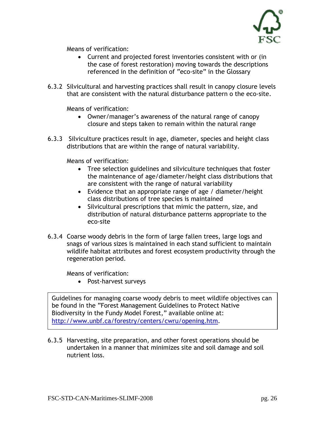

- Current and projected forest inventories consistent with or (in the case of forest restoration) moving towards the descriptions referenced in the definition of "eco-site" in the Glossary
- 6.3.2 Silvicultural and harvesting practices shall result in canopy closure levels that are consistent with the natural disturbance pattern o the eco-site.

Means of verification:

- Owner/manager's awareness of the natural range of canopy closure and steps taken to remain within the natural range
- 6.3.3 Silviculture practices result in age, diameter, species and height class distributions that are within the range of natural variability.

Means of verification:

- Tree selection guidelines and silviculture techniques that foster the maintenance of age/diameter/height class distributions that are consistent with the range of natural variability
- Evidence that an appropriate range of age / diameter/height class distributions of tree species is maintained
- Silvicultural prescriptions that mimic the pattern, size, and distribution of natural disturbance patterns appropriate to the eco-site
- 6.3.4 Coarse woody debris in the form of large fallen trees, large logs and snags of various sizes is maintained in each stand sufficient to maintain wildlife habitat attributes and forest ecosystem productivity through the regeneration period.

Means of verification:

• Post-harvest surveys

Guidelines for managing coarse woody debris to meet wildlife objectives can be found in the "Forest Management Guidelines to Protect Native Biodiversity in the Fundy Model Forest," available online at: [http://www.unbf.ca/forestry/centers/cwru/opening.htm.](http://www.unbf.ca/forestry/centers/cwru/opening.htm)

6.3.5 Harvesting, site preparation, and other forest operations should be undertaken in a manner that minimizes site and soil damage and soil nutrient loss.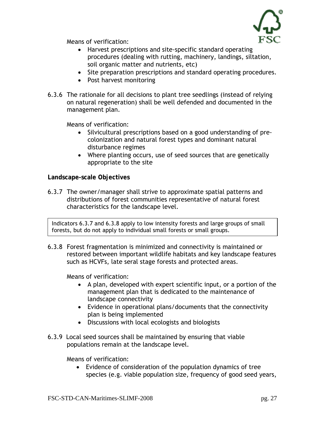

- Harvest prescriptions and site-specific standard operating procedures (dealing with rutting, machinery, landings, siltation, soil organic matter and nutrients, etc)
- Site preparation prescriptions and standard operating procedures.
- Post harvest monitoring
- 6.3.6 The rationale for all decisions to plant tree seedlings (instead of relying on natural regeneration) shall be well defended and documented in the management plan.

Means of verification:

- Silvicultural prescriptions based on a good understanding of precolonization and natural forest types and dominant natural disturbance regimes
- Where planting occurs, use of seed sources that are genetically appropriate to the site

**Landscape-scale Objectives** 

6.3.7 The owner/manager shall strive to approximate spatial patterns and distributions of forest communities representative of natural forest characteristics for the landscape level.

Indicators 6.3.7 and 6.3.8 apply to low intensity forests and large groups of small forests, but do not apply to individual small forests or small groups.

6.3.8 Forest fragmentation is minimized and connectivity is maintained or restored between important wildlife habitats and key landscape features such as HCVFs, late seral stage forests and protected areas.

Means of verification:

- A plan, developed with expert scientific input, or a portion of the management plan that is dedicated to the maintenance of landscape connectivity
- Evidence in operational plans/documents that the connectivity plan is being implemented
- Discussions with local ecologists and biologists
- 6.3.9 Local seed sources shall be maintained by ensuring that viable populations remain at the landscape level.

Means of verification:

• Evidence of consideration of the population dynamics of tree species (e.g. viable population size, frequency of good seed years,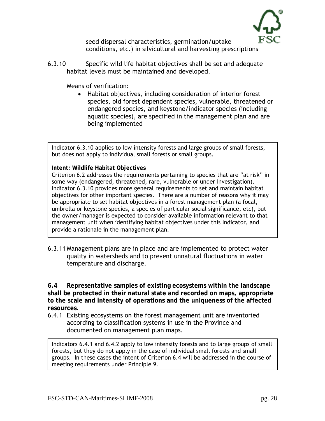

seed dispersal characteristics, germination/uptake conditions, etc.) in silvicultural and harvesting prescriptions

6.3.10 Specific wild life habitat objectives shall be set and adequate habitat levels must be maintained and developed.

Means of verification:

• Habitat objectives, including consideration of interior forest species, old forest dependent species, vulnerable, threatened or endangered species, and keystone/indicator species (including aquatic species), are specified in the management plan and are being implemented

Indicator 6.3.10 applies to low intensity forests and large groups of small forests, but does not apply to individual small forests or small groups.

#### **Intent: Wildlife Habitat Objectives**

Criterion 6.2 addresses the requirements pertaining to species that are "at risk" in some way (endangered, threatened, rare, vulnerable or under investigation). Indicator 6.3.10 provides more general requirements to set and maintain habitat objectives for other important species. There are a number of reasons why it may be appropriate to set habitat objectives in a forest management plan (a focal, umbrella or keystone species, a species of particular social significance, etc), but the owner/manager is expected to consider available information relevant to that management unit when identifying habitat objectives under this Indicator, and provide a rationale in the management plan.

6.3.11 Management plans are in place and are implemented to protect water quality in watersheds and to prevent unnatural fluctuations in water temperature and discharge.

**6.4 Representative samples of existing ecosystems within the landscape shall be protected in their natural state and recorded on maps, appropriate to the scale and intensity of operations and the uniqueness of the affected resources.** 

6.4.1 Existing ecosystems on the forest management unit are inventoried according to classification systems in use in the Province and documented on management plan maps.

Indicators 6.4.1 and 6.4.2 apply to low intensity forests and to large groups of small forests, but they do not apply in the case of individual small forests and small groups. In these cases the intent of Criterion 6.4 will be addressed in the course of meeting requirements under Principle 9.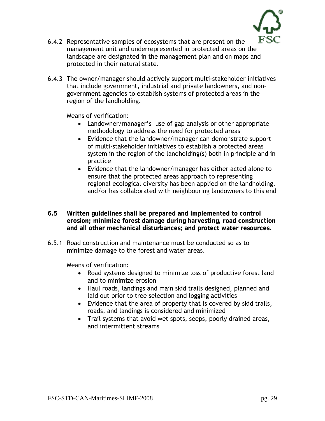

- 6.4.2 Representative samples of ecosystems that are present on the management unit and underrepresented in protected areas on the landscape are designated in the management plan and on maps and protected in their natural state.
- 6.4.3 The owner/manager should actively support multi-stakeholder initiatives that include government, industrial and private landowners, and nongovernment agencies to establish systems of protected areas in the region of the landholding.

- Landowner/manager's use of gap analysis or other appropriate methodology to address the need for protected areas
- Evidence that the landowner/manager can demonstrate support of multi-stakeholder initiatives to establish a protected areas system in the region of the landholding(s) both in principle and in practice
- Evidence that the landowner/manager has either acted alone to ensure that the protected areas approach to representing regional ecological diversity has been applied on the landholding, and/or has collaborated with neighbouring landowners to this end
- **6.5 Written guidelines shall be prepared and implemented to control erosion; minimize forest damage during harvesting, road construction and all other mechanical disturbances; and protect water resources.**
- 6.5.1 Road construction and maintenance must be conducted so as to minimize damage to the forest and water areas.

- Road systems designed to minimize loss of productive forest land and to minimize erosion
- Haul roads, landings and main skid trails designed, planned and laid out prior to tree selection and logging activities
- Evidence that the area of property that is covered by skid trails, roads, and landings is considered and minimized
- Trail systems that avoid wet spots, seeps, poorly drained areas, and intermittent streams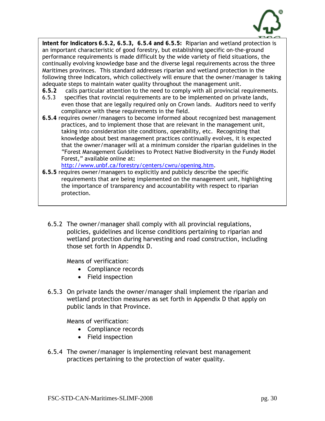

**Intent for Indicators 6.5.2, 6.5.3, 6.5.4 and 6.5.5:** Riparian and wetland protection is an important characteristic of good forestry, but establishing specific on-the-ground performance requirements is made difficult by the wide variety of field situations, the continually evolving knowledge base and the diverse legal requirements across the three Maritimes provinces. This standard addresses riparian and wetland protection in the following three Indicators, which collectively will ensure that the owner/manager is taking adequate steps to maintain water quality throughout the management unit.

- **6.5.2** calls particular attention to the need to comply with all provincial requirements.
- 6.5.3 specifies that rovincial requirements are to be implemented on private lands, even those that are legally required only on Crown lands. Auditors need to verify compliance with these requirements in the field.
- **6.5.4** requires owner/managers to become informed about recognized best management practices, and to implement those that are relevant in the management unit, taking into consideration site conditions, operability, etc. Recognizing that knowledge about best management practices continually evolves, it is expected that the owner/manager will at a minimum consider the riparian guidelines in the "Forest Management Guidelines to Protect Native Biodiversity in the Fundy Model Forest," available online at:

[http://www.unbf.ca/forestry/centers/cwru/opening.htm.](http://www.unbf.ca/forestry/centers/cwru/opening.htm)

- **6.5.5** requires owner/managers to explicitly and publicly describe the specific requirements that are being implemented on the management unit, highlighting the importance of transparency and accountability with respect to riparian protection.
	- 6.5.2 The owner/manager shall comply with all provincial regulations, policies, guidelines and license conditions pertaining to riparian and wetland protection during harvesting and road construction, including those set forth in Appendix D.

Means of verification:

- Compliance records
- Field inspection
- 6.5.3 On private lands the owner/manager shall implement the riparian and wetland protection measures as set forth in Appendix D that apply on public lands in that Province.

- Compliance records
- Field inspection
- 6.5.4 The owner/manager is implementing relevant best management practices pertaining to the protection of water quality.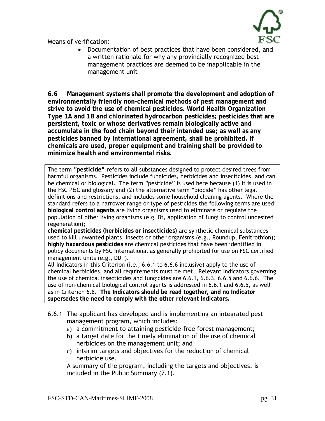

• Documentation of best practices that have been considered, and a written rationale for why any provincially recognized best management practices are deemed to be inapplicable in the management unit

**6.6 Management systems shall promote the development and adoption of environmentally friendly non-chemical methods of pest management and strive to avoid the use of chemical pesticides. World Health Organization Type 1A and 1B and chlorinated hydrocarbon pesticides; pesticides that are persistent, toxic or whose derivatives remain biologically active and accumulate in the food chain beyond their intended use; as well as any pesticides banned by international agreement, shall be prohibited. If chemicals are used, proper equipment and training shall be provided to minimize health and environmental risks.** 

The term "**pesticide"** refers to all substances designed to protect desired trees from harmful organisms. Pesticides include fungicides, herbicides and insecticides, and can be chemical or biological. The term "pesticide" is used here because (1) it is used in the FSC P&C and glossary and (2) the alternative term "biocide" has other legal definitions and restrictions, and includes some household cleaning agents. Where the standard refers to a narrower range or type of pesticides the following terms are used: **biological control agents** are living organisms used to eliminate or regulate the population of other living organisms (e.g. Bt, application of fungi to control undesired regeneration);

**chemical pesticides (herbicides or insecticides)** are synthetic chemical substances used to kill unwanted plants, insects or other organisms (e.g., Roundup, Fenitrothion); **highly hazardous pesticides** are chemical pesticides that have been identified in policy documents by FSC International as generally prohibited for use on FSC certified management units (e.g., DDT).

All Indicators in this Criterion (i.e., 6.6.1 to 6.6.6 inclusive) apply to the use of chemical herbicides, and all requirements must be met. Relevant Indicators governing the use of chemical insecticides and fungicides are 6.6.1, 6.6.3, 6.6.5 and 6.6.6. The use of non-chemical biological control agents is addressed in 6.6.1 and 6.6.5, as well as in Criterion 6.8. **The Indicators should be read together, and no Indicator supersedes the need to comply with the other relevant Indicators.** 

- 6.6.1 The applicant has developed and is implementing an integrated pest management program, which includes:
	- a) a commitment to attaining pesticide-free forest management;
	- b) a target date for the timely elimination of the use of chemical herbicides on the management unit; and
	- c) interim targets and objectives for the reduction of chemical herbicide use.

 A summary of the program, including the targets and objectives, is included in the Public Summary (7.1).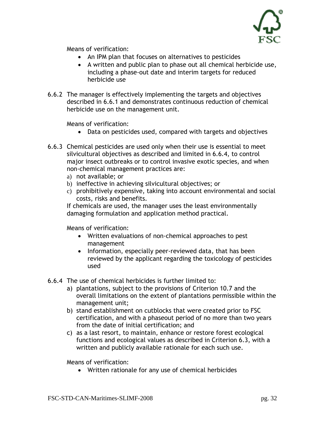

- An IPM plan that focuses on alternatives to pesticides
- A written and public plan to phase out all chemical herbicide use, including a phase-out date and interim targets for reduced herbicide use
- 6.6.2 The manager is effectively implementing the targets and objectives described in 6.6.1 and demonstrates continuous reduction of chemical herbicide use on the management unit.

Means of verification:

- Data on pesticides used, compared with targets and objectives
- 6.6.3 Chemical pesticides are used only when their use is essential to meet silvicultural objectives as described and limited in 6.6.4, to control major insect outbreaks or to control invasive exotic species, and when non-chemical management practices are:
	- a) not available; or
	- b) ineffective in achieving silvicultural objectives; or
	- c) prohibitively expensive, taking into account environmental and social costs, risks and benefits.

 If chemicals are used, the manager uses the least environmentally damaging formulation and application method practical.

Means of verification:

- Written evaluations of non-chemical approaches to pest management
- Information, especially peer-reviewed data, that has been reviewed by the applicant regarding the toxicology of pesticides used
- 6.6.4 The use of chemical herbicides is further limited to:
	- a) plantations, subject to the provisions of Criterion 10.7 and the overall limitations on the extent of plantations permissible within the management unit;
	- b) stand establishment on cutblocks that were created prior to FSC certification, and with a phaseout period of no more than two years from the date of initial certification; and
	- c) as a last resort, to maintain, enhance or restore forest ecological functions and ecological values as described in Criterion 6.3, with a written and publicly available rationale for each such use.

Means of verification:

• Written rationale for any use of chemical herbicides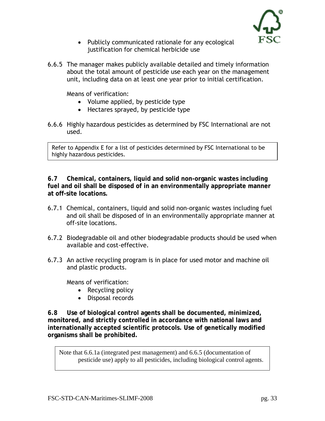

- Publicly communicated rationale for any ecological justification for chemical herbicide use
- 6.6.5 The manager makes publicly available detailed and timely information about the total amount of pesticide use each year on the management unit, including data on at least one year prior to initial certification.

- Volume applied, by pesticide type
- Hectares sprayed, by pesticide type
- 6.6.6 Highly hazardous pesticides as determined by FSC International are not used.

Refer to Appendix E for a list of pesticides determined by FSC International to be highly hazardous pesticides.

**6.7 Chemical, containers, liquid and solid non-organic wastes including fuel and oil shall be disposed of in an environmentally appropriate manner at off-site locations.** 

- 6.7.1 Chemical, containers, liquid and solid non-organic wastes including fuel and oil shall be disposed of in an environmentally appropriate manner at off-site locations.
- 6.7.2 Biodegradable oil and other biodegradable products should be used when available and cost-effective.
- 6.7.3 An active recycling program is in place for used motor and machine oil and plastic products.

Means of verification:

- Recycling policy
- Disposal records

**6.8 Use of biological control agents shall be documented, minimized, monitored, and strictly controlled in accordance with national laws and internationally accepted scientific protocols. Use of genetically modified organisms shall be prohibited.** 

Note that 6.6.1a (integrated pest management) and 6.6.5 (documentation of pesticide use) apply to all pesticides, including biological control agents.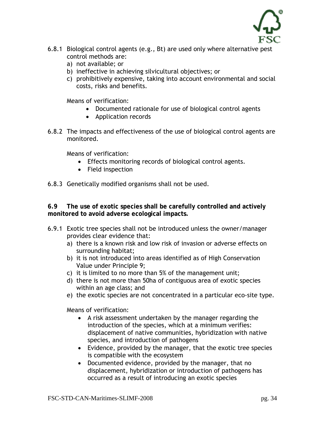

- 6.8.1 Biological control agents (e.g., Bt) are used only where alternative pest control methods are:
	- a) not available; or
	- b) ineffective in achieving silvicultural objectives; or
	- c) prohibitively expensive, taking into account environmental and social costs, risks and benefits.

- Documented rationale for use of biological control agents
- Application records
- 6.8.2 The impacts and effectiveness of the use of biological control agents are monitored.

Means of verification:

- Effects monitoring records of biological control agents.
- Field inspection

6.8.3 Genetically modified organisms shall not be used.

**6.9 The use of exotic species shall be carefully controlled and actively monitored to avoid adverse ecological impacts.** 

- 6.9.1 Exotic tree species shall not be introduced unless the owner/manager provides clear evidence that:
	- a) there is a known risk and low risk of invasion or adverse effects on surrounding habitat;
	- b) it is not introduced into areas identified as of High Conservation Value under Principle 9;
	- c) it is limited to no more than 5% of the management unit;
	- d) there is not more than 50ha of contiguous area of exotic species within an age class; and
	- e) the exotic species are not concentrated in a particular eco-site type.

- A risk assessment undertaken by the manager regarding the introduction of the species, which at a minimum verifies: displacement of native communities, hybridization with native species, and introduction of pathogens
- Evidence, provided by the manager, that the exotic tree species is compatible with the ecosystem
- Documented evidence, provided by the manager, that no displacement, hybridization or introduction of pathogens has occurred as a result of introducing an exotic species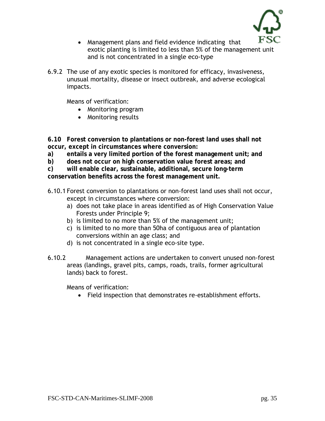

- Management plans and field evidence indicating that exotic planting is limited to less than 5% of the management unit and is not concentrated in a single eco-type
- 6.9.2 The use of any exotic species is monitored for efficacy, invasiveness, unusual mortality, disease or insect outbreak, and adverse ecological impacts.

- Monitoring program
- Monitoring results

**6.10 Forest conversion to plantations or non-forest land uses shall not occur, except in circumstances where conversion:** 

- **a) entails a very limited portion of the forest management unit; and**
- **b) does not occur on high conservation value forest areas; and**

**c) will enable clear, sustainable, additional, secure long-term conservation benefits across the forest management unit.** 

- 6.10.1 Forest conversion to plantations or non-forest land uses shall not occur, except in circumstances where conversion:
	- a) does not take place in areas identified as of High Conservation Value Forests under Principle 9;
	- b) is limited to no more than 5% of the management unit;
	- c) is limited to no more than 50ha of contiguous area of plantation conversions within an age class; and
	- d) is not concentrated in a single eco-site type.
- 6.10.2 Management actions are undertaken to convert unused non-forest areas (landings, gravel pits, camps, roads, trails, former agricultural lands) back to forest.

Means of verification:

• Field inspection that demonstrates re-establishment efforts.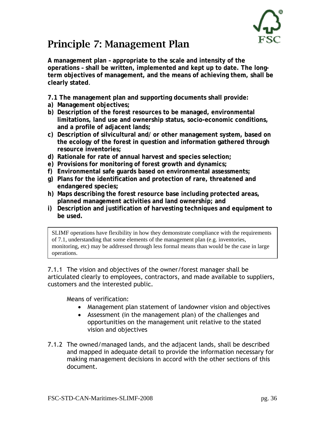

#### Principle 7: Management Plan

**A management plan – appropriate to the scale and intensity of the operations – shall be written, implemented and kept up to date. The longterm objectives of management, and the means of achieving them, shall be clearly stated**.

**7.1 The management plan and supporting documents shall provide:** 

- **a) Management objectives;**
- **b) Description of the forest resources to be managed, environmental limitations, land use and ownership status, socio-economic conditions, and a profile of adjacent lands;**
- **c) Description of silvicultural and/ or other management system, based on the ecology of the forest in question and information gathered through resource inventories;**
- **d) Rationale for rate of annual harvest and species selection;**
- **e) Provisions for monitoring of forest growth and dynamics;**
- **f) Environmental safe guards based on environmental assessments;**
- **g) Plans for the identification and protection of rare, threatened and endangered species;**
- **h) Maps describing the forest resource base including protected areas, planned management activities and land ownership; and**
- **i) Description and justification of harvesting techniques and equipment to be used.**

SLIMF operations have flexibility in how they demonstrate compliance with the requirements of 7.1, understanding that some elements of the management plan (e.g. inventories, monitoring, etc) may be addressed through less formal means than would be the case in large operations.

7.1.1 The vision and objectives of the owner/forest manager shall be articulated clearly to employees, contractors, and made available to suppliers, customers and the interested public.

- Management plan statement of landowner vision and objectives
- Assessment (in the management plan) of the challenges and opportunities on the management unit relative to the stated vision and objectives
- 7.1.2 The owned/managed lands, and the adjacent lands, shall be described and mapped in adequate detail to provide the information necessary for making management decisions in accord with the other sections of this document.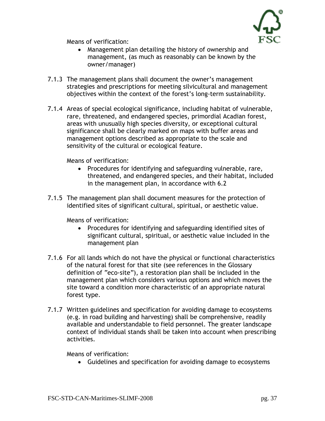

Means of verification:

- Management plan detailing the history of ownership and management, (as much as reasonably can be known by the owner/manager)
- 7.1.3 The management plans shall document the owner's management strategies and prescriptions for meeting silvicultural and management objectives within the context of the forest's long-term sustainability.
- 7.1.4 Areas of special ecological significance, including habitat of vulnerable, rare, threatened, and endangered species, primordial Acadian forest, areas with unusually high species diversity, or exceptional cultural significance shall be clearly marked on maps with buffer areas and management options described as appropriate to the scale and sensitivity of the cultural or ecological feature.

Means of verification:

- Procedures for identifying and safeguarding vulnerable, rare, threatened, and endangered species, and their habitat, included in the management plan, in accordance with 6.2
- 7.1.5 The management plan shall document measures for the protection of identified sites of significant cultural, spiritual, or aesthetic value.

Means of verification:

- Procedures for identifying and safeguarding identified sites of significant cultural, spiritual, or aesthetic value included in the management plan
- 7.1.6 For all lands which do not have the physical or functional characteristics of the natural forest for that site (see references in the Glossary definition of "eco-site"), a restoration plan shall be included in the management plan which considers various options and which moves the site toward a condition more characteristic of an appropriate natural forest type.
- 7.1.7 Written guidelines and specification for avoiding damage to ecosystems (e.g. in road building and harvesting) shall be comprehensive, readily available and understandable to field personnel. The greater landscape context of individual stands shall be taken into account when prescribing activities.

Means of verification:

• Guidelines and specification for avoiding damage to ecosystems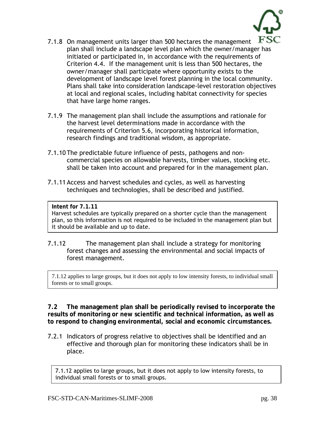

- 7.1.8 On management units larger than 500 hectares the management plan shall include a landscape level plan which the owner/manager has initiated or participated in, in accordance with the requirements of Criterion 4.4. If the management unit is less than 500 hectares, the owner/manager shall participate where opportunity exists to the development of landscape level forest planning in the local community. Plans shall take into consideration landscape-level restoration objectives at local and regional scales, including habitat connectivity for species that have large home ranges.
- 7.1.9 The management plan shall include the assumptions and rationale for the harvest level determinations made in accordance with the requirements of Criterion 5.6, incorporating historical information, research findings and traditional wisdom, as appropriate.
- 7.1.10 The predictable future influence of pests, pathogens and noncommercial species on allowable harvests, timber values, stocking etc. shall be taken into account and prepared for in the management plan.
- 7.1.11 Access and harvest schedules and cycles, as well as harvesting techniques and technologies, shall be described and justified.

#### **Intent for 7.1.11**

Harvest schedules are typically prepared on a shorter cycle than the management plan, so this information is not required to be included in the management plan but it should be available and up to date.

7.1.12 The management plan shall include a strategy for monitoring forest changes and assessing the environmental and social impacts of forest management.

7.1.12 applies to large groups, but it does not apply to low intensity forests, to individual small forests or to small groups.

**7.2 The management plan shall be periodically revised to incorporate the results of monitoring or new scientific and technical information, as well as to respond to changing environmental, social and economic circumstances.** 

7.2.1 Indicators of progress relative to objectives shall be identified and an effective and thorough plan for monitoring these indicators shall be in place.

7.1.12 applies to large groups, but it does not apply to low intensity forests, to individual small forests or to small groups.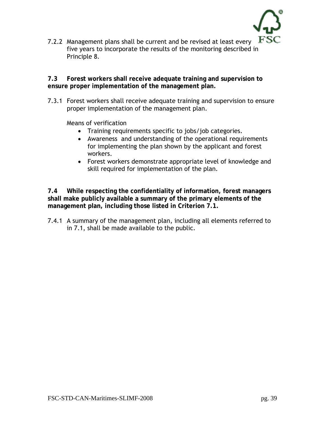

7.2.2 Management plans shall be current and be revised at least every  $\mathbb{F}$ . five years to incorporate the results of the monitoring described in Principle 8.

**7.3 Forest workers shall receive adequate training and supervision to ensure proper implementation of the management plan.** 

7.3.1 Forest workers shall receive adequate training and supervision to ensure proper implementation of the management plan.

Means of verification

- Training requirements specific to jobs/job categories.
- Awareness and understanding of the operational requirements for implementing the plan shown by the applicant and forest workers.
- Forest workers demonstrate appropriate level of knowledge and skill required for implementation of the plan.

**7.4 While respecting the confidentiality of information, forest managers shall make publicly available a summary of the primary elements of the management plan, including those listed in Criterion 7.1.** 

7.4.1 A summary of the management plan, including all elements referred to in 7.1, shall be made available to the public.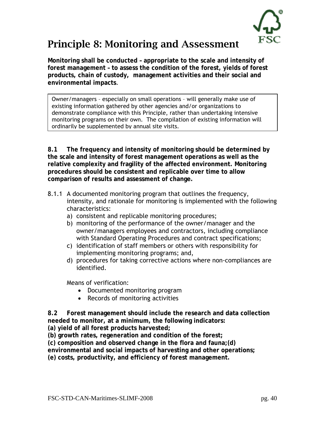

# Principle 8: Monitoring and Assessment

**Monitoring shall be conducted – appropriate to the scale and intensity of forest management – to assess the condition of the forest, yields of forest products, chain of custody, management activities and their social and environmental impacts**.

Owner/managers – especially on small operations – will generally make use of existing information gathered by other agencies and/or organizations to demonstrate compliance with this Principle, rather than undertaking intensive monitoring programs on their own. The compilation of existing information will ordinarily be supplemented by annual site visits.

**8.1 The frequency and intensity of monitoring should be determined by the scale and intensity of forest management operations as well as the relative complexity and fragility of the affected environment. Monitoring procedures should be consistent and replicable over time to allow comparison of results and assessment of change.** 

- 8.1.1 A documented monitoring program that outlines the frequency, intensity, and rationale for monitoring is implemented with the following characteristics:
	- a) consistent and replicable monitoring procedures;
	- b) monitoring of the performance of the owner/manager and the owner/managers employees and contractors, including compliance with Standard Operating Procedures and contract specifications;
	- c) identification of staff members or others with responsibility for implementing monitoring programs; and,
	- d) procedures for taking corrective actions where non-compliances are identified.

Means of verification:

- Documented monitoring program
- Records of monitoring activities

**8.2 Forest management should include the research and data collection needed to monitor, at a minimum, the following indicators:** 

**(a) yield of all forest products harvested;** 

**(b) growth rates, regeneration and condition of the forest;** 

**(c) composition and observed change in the flora and fauna;(d)** 

**environmental and social impacts of harvesting and other operations;** 

**(e) costs, productivity, and efficiency of forest management.**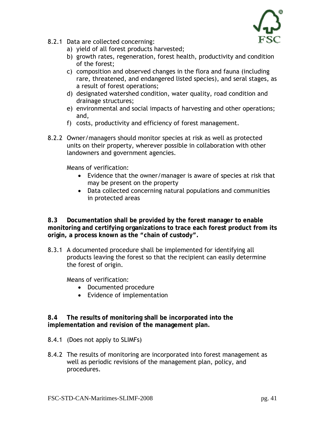

- 8.2.1 Data are collected concerning:
	- a) yield of all forest products harvested;
	- b) growth rates, regeneration, forest health, productivity and condition of the forest;
	- c) composition and observed changes in the flora and fauna (including rare, threatened, and endangered listed species), and seral stages, as a result of forest operations;
	- d) designated watershed condition, water quality, road condition and drainage structures;
	- e) environmental and social impacts of harvesting and other operations; and,
	- f) costs, productivity and efficiency of forest management.
- 8.2.2 Owner/managers should monitor species at risk as well as protected units on their property, wherever possible in collaboration with other landowners and government agencies.

Means of verification:

- Evidence that the owner/manager is aware of species at risk that may be present on the property
- Data collected concerning natural populations and communities in protected areas

**8.3 Documentation shall be provided by the forest manager to enable monitoring and certifying organizations to trace each forest product from its origin, a process known as the "chain of custody".** 

8.3.1 A documented procedure shall be implemented for identifying all products leaving the forest so that the recipient can easily determine the forest of origin.

Means of verification:

- Documented procedure
- Evidence of implementation

**8.4 The results of monitoring shall be incorporated into the implementation and revision of the management plan.** 

- 8.4.1 (Does not apply to SLIMFs)
- 8.4.2 The results of monitoring are incorporated into forest management as well as periodic revisions of the management plan, policy, and procedures.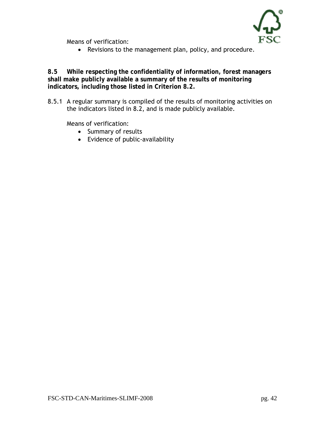

Means of verification:

• Revisions to the management plan, policy, and procedure.

**8.5 While respecting the confidentiality of information, forest managers shall make publicly available a summary of the results of monitoring indicators, including those listed in Criterion 8.2.** 

8.5.1 A regular summary is compiled of the results of monitoring activities on the indicators listed in 8.2, and is made publicly available.

Means of verification:

- Summary of results
- Evidence of public-availability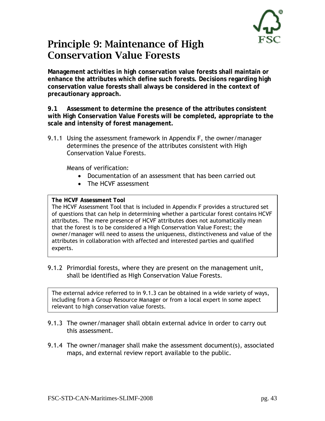

### Principle 9: Maintenance of High Conservation Value Forests

**Management activities in high conservation value forests shall maintain or enhance the attributes which define such forests. Decisions regarding high conservation value forests shall always be considered in the context of precautionary approach.** 

**9.1 Assessment to determine the presence of the attributes consistent with High Conservation Value Forests will be completed, appropriate to the scale and intensity of forest management.** 

9.1.1 Using the assessment framework in Appendix F, the owner/manager determines the presence of the attributes consistent with High Conservation Value Forests.

Means of verification:

- Documentation of an assessment that has been carried out
- The HCVF assessment

#### **The HCVF Assessment Tool**

The HCVF Assessment Tool that is included in Appendix F provides a structured set of questions that can help in determining whether a particular forest contains HCVF attributes. The mere presence of HCVF attributes does not automatically mean that the forest is to be considered a High Conservation Value Forest; the owner/manager will need to assess the uniqueness, distinctiveness and value of the attributes in collaboration with affected and interested parties and qualified experts.

9.1.2 Primordial forests, where they are present on the management unit, shall be identified as High Conservation Value Forests.

The external advice referred to in 9.1.3 can be obtained in a wide variety of ways, including from a Group Resource Manager or from a local expert in some aspect relevant to high conservation value forests.

- 9.1.3 The owner/manager shall obtain external advice in order to carry out this assessment.
- 9.1.4 The owner/manager shall make the assessment document(s), associated maps, and external review report available to the public.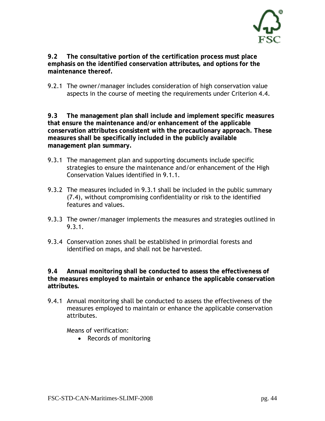

**9.2 The consultative portion of the certification process must place emphasis on the identified conservation attributes, and options for the maintenance thereof.** 

9.2.1 The owner/manager includes consideration of high conservation value aspects in the course of meeting the requirements under Criterion 4.4.

**9.3 The management plan shall include and implement specific measures that ensure the maintenance and/or enhancement of the applicable conservation attributes consistent with the precautionary approach. These measures shall be specifically included in the publicly available management plan summary.** 

- 9.3.1 The management plan and supporting documents include specific strategies to ensure the maintenance and/or enhancement of the High Conservation Values identified in 9.1.1.
- 9.3.2 The measures included in 9.3.1 shall be included in the public summary (7.4), without compromising confidentiality or risk to the identified features and values.
- 9.3.3 The owner/manager implements the measures and strategies outlined in 9.3.1.
- 9.3.4 Conservation zones shall be established in primordial forests and identified on maps, and shall not be harvested.

**9.4 Annual monitoring shall be conducted to assess the effectiveness of the measures employed to maintain or enhance the applicable conservation attributes.** 

9.4.1 Annual monitoring shall be conducted to assess the effectiveness of the measures employed to maintain or enhance the applicable conservation attributes.

Means of verification:

• Records of monitoring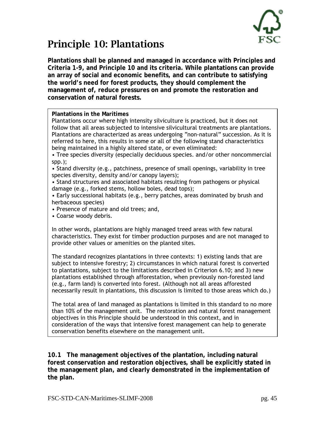

## Principle 10: Plantations

**Plantations shall be planned and managed in accordance with Principles and Criteria 1-9, and Principle 10 and its criteria. While plantations can provide an array of social and economic benefits, and can contribute to satisfying the world's need for forest products, they should complement the management of, reduce pressures on and promote the restoration and conservation of natural forests.** 

**Plantations in the Maritimes** 

Plantations occur where high intensity silviculture is practiced, but it does not follow that all areas subjected to intensive silvicultural treatments are plantations. Plantations are characterized as areas undergoing "non-natural" succession. As it is referred to here, this results in some or all of the following stand characteristics being maintained in a highly altered state, or even eliminated:

• Tree species diversity (especially deciduous species. and/or other noncommercial spp.);

• Stand diversity (e.g., patchiness, presence of small openings, variability in tree species diversity, density and/or canopy layers);

• Stand structures and associated habitats resulting from pathogens or physical damage (e.g., forked stems, hollow boles, dead tops);

• Early successional habitats (e.g., berry patches, areas dominated by brush and herbaceous species)

• Presence of mature and old trees; and,

• Coarse woody debris.

In other words, plantations are highly managed treed areas with few natural characteristics. They exist for timber production purposes and are not managed to provide other values or amenities on the planted sites.

The standard recognizes plantations in three contexts: 1) existing lands that are subject to intensive forestry; 2) circumstances in which natural forest is converted to plantations, subject to the limitations described in Criterion 6.10; and 3) new plantations established through afforestation, when previously non-forested land (e.g., farm land) is converted into forest. (Although not all areas afforested necessarily result in plantations, this discussion is limited to those areas which do.)

The total area of land managed as plantations is limited in this standard to no more than 10% of the management unit. The restoration and natural forest management objectives in this Principle should be understood in this context, and in consideration of the ways that intensive forest management can help to generate conservation benefits elsewhere on the management unit.

**10.1 The management objectives of the plantation, including natural forest conservation and restoration objectives, shall be explicitly stated in the management plan, and clearly demonstrated in the implementation of the plan.**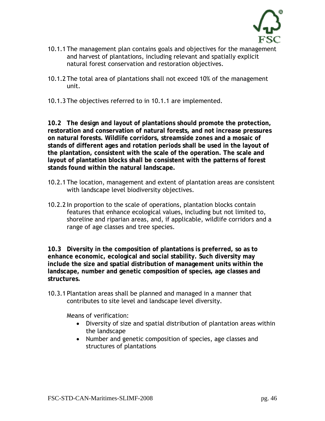

- 10.1.1 The management plan contains goals and objectives for the management and harvest of plantations, including relevant and spatially explicit natural forest conservation and restoration objectives.
- 10.1.2 The total area of plantations shall not exceed 10% of the management unit.
- 10.1.3 The objectives referred to in 10.1.1 are implemented.

**10.2 The design and layout of plantations should promote the protection, restoration and conservation of natural forests, and not increase pressures on natural forests. Wildlife corridors, streamside zones and a mosaic of stands of different ages and rotation periods shall be used in the layout of the plantation, consistent with the scale of the operation. The scale and layout of plantation blocks shall be consistent with the patterns of forest stands found within the natural landscape.** 

- 10.2.1 The location, management and extent of plantation areas are consistent with landscape level biodiversity objectives.
- 10.2.2 In proportion to the scale of operations, plantation blocks contain features that enhance ecological values, including but not limited to, shoreline and riparian areas, and, if applicable, wildlife corridors and a range of age classes and tree species.

**10.3 Diversity in the composition of plantations is preferred, so as to enhance economic, ecological and social stability. Such diversity may include the size and spatial distribution of management units within the landscape, number and genetic composition of species, age classes and structures.** 

10.3.1 Plantation areas shall be planned and managed in a manner that contributes to site level and landscape level diversity.

Means of verification:

- Diversity of size and spatial distribution of plantation areas within the landscape
- Number and genetic composition of species, age classes and structures of plantations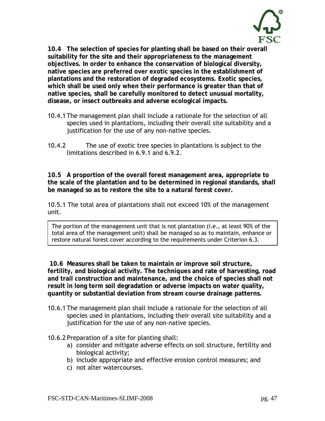

**10.4 The selection of species for planting shall be based on their overall suitability for the site and their appropriateness to the management objectives. In order to enhance the conservation of biological diversity, native species are preferred over exotic species in the establishment of plantations and the restoration of degraded ecosystems. Exotic species, which shall be used only when their performance is greater than that of native species, shall be carefully monitored to detect unusual mortality, disease, or insect outbreaks and adverse ecological impacts.** 

- 10.4.1 The management plan shall include a rationale for the selection of all species used in plantations, including their overall site suitability and a justification for the use of any non-native species.
- 10.4.2 The use of exotic tree species in plantations is subject to the limitations described in 6.9.1 and 6.9.2.

**10.5 A proportion of the overall forest management area, appropriate to the scale of the plantation and to be determined in regional standards, shall be managed so as to restore the site to a natural forest cover.** 

10.5.1 The total area of plantations shall not exceed 10% of the management unit.

The portion of the management unit that is not plantation (i.e., at least 90% of the total area of the management unit) shall be managed so as to maintain, enhance or restore natural forest cover according to the requirements under Criterion 6.3.

 **10.6 Measures shall be taken to maintain or improve soil structure, fertility, and biological activity. The techniques and rate of harvesting, road and trail construction and maintenance, and the choice of species shall not result in long term soil degradation or adverse impacts on water quality, quantity or substantial deviation from stream course drainage patterns.** 

10.6.1 The management plan shall include a rationale for the selection of all species used in plantations, including their overall site suitability and a justification for the use of any non-native species.

10.6.2 Preparation of a site for planting shall:

- a) consider and mitigate adverse effects on soil structure, fertility and biological activity;
- b) include appropriate and effective erosion control measures; and
- c) not alter watercourses.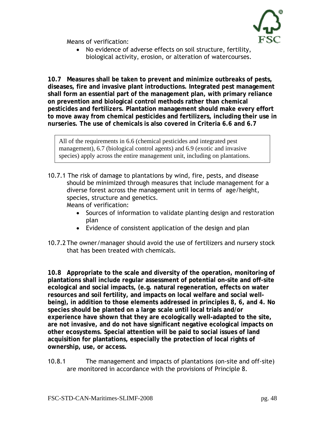

Means of verification:

• No evidence of adverse effects on soil structure, fertility, biological activity, erosion, or alteration of watercourses.

**10.7 Measures shall be taken to prevent and minimize outbreaks of pests, diseases, fire and invasive plant introductions. Integrated pest management shall form an essential part of the management plan, with primary reliance on prevention and biological control methods rather than chemical pesticides and fertilizers. Plantation management should make every effort to move away from chemical pesticides and fertilizers, including their use in nurseries. The use of chemicals is also covered in Criteria 6.6 and 6.7** 

All of the requirements in 6.6 (chemical pesticides and integrated pest management), 6.7 (biological control agents) and 6.9 (exotic and invasive species) apply across the entire management unit, including on plantations.

- 10.7.1 The risk of damage to plantations by wind, fire, pests, and disease should be minimized through measures that include management for a diverse forest across the management unit in terms of age/height, species, structure and genetics. Means of verification:
	- Sources of information to validate planting design and restoration plan
	- Evidence of consistent application of the design and plan
- 10.7.2 The owner/manager should avoid the use of fertilizers and nursery stock that has been treated with chemicals.

**10.8 Appropriate to the scale and diversity of the operation, monitoring of plantations shall include regular assessment of potential on-site and off-site ecological and social impacts, (e.g. natural regeneration, effects on water resources and soil fertility, and impacts on local welfare and social wellbeing), in addition to those elements addressed in principles 8, 6, and 4. No species should be planted on a large scale until local trials and/or experience have shown that they are ecologically well-adapted to the site, are not invasive, and do not have significant negative ecological impacts on other ecosystems. Special attention will be paid to social issues of land acquisition for plantations, especially the protection of local rights of ownership, use, or access.** 

10.8.1 The management and impacts of plantations (on-site and off-site) are monitored in accordance with the provisions of Principle 8.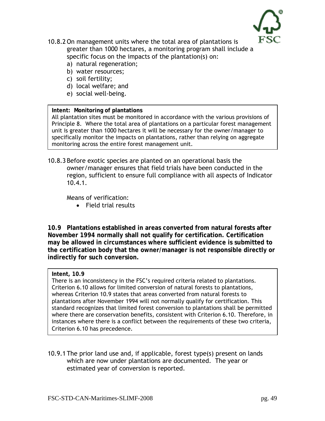

- 10.8.2 On management units where the total area of plantations is greater than 1000 hectares, a monitoring program shall include a specific focus on the impacts of the plantation(s) on:
	- a) natural regeneration;
	- b) water resources;
	- c) soil fertility;
	- d) local welfare; and
	- e) social well-being.

#### **Intent: Monitoring of plantations**

All plantation sites must be monitored in accordance with the various provisions of Principle 8. Where the total area of plantations on a particular forest management unit is greater than 1000 hectares it will be necessary for the owner/manager to specifically monitor the impacts on plantations, rather than relying on aggregate monitoring across the entire forest management unit.

10.8.3 Before exotic species are planted on an operational basis the owner/manager ensures that field trials have been conducted in the region, sufficient to ensure full compliance with all aspects of Indicator 10.4.1.

Means of verification:

• Field trial results

**10.9 Plantations established in areas converted from natural forests after November 1994 normally shall not qualify for certification. Certification may be allowed in circumstances where sufficient evidence is submitted to the certification body that the owner/manager is not responsible directly or indirectly for such conversion.** 

#### **Intent, 10.9**

There is an inconsistency in the FSC's required criteria related to plantations. Criterion 6.10 allows for limited conversion of natural forests to plantations, whereas Criterion 10.9 states that areas converted from natural forests to plantations after November 1994 will not normally qualify for certification. This standard recognizes that limited forest conversion to plantations shall be permitted where there are conservation benefits, consistent with Criterion 6.10. Therefore, in instances where there is a conflict between the requirements of these two criteria, Criterion 6.10 has precedence.

10.9.1 The prior land use and, if applicable, forest type(s) present on lands which are now under plantations are documented. The year or estimated year of conversion is reported.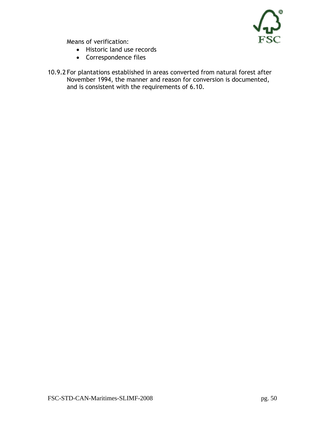

Means of verification:

- Historic land use records
- Correspondence files
- 10.9.2 For plantations established in areas converted from natural forest after November 1994, the manner and reason for conversion is documented, and is consistent with the requirements of 6.10.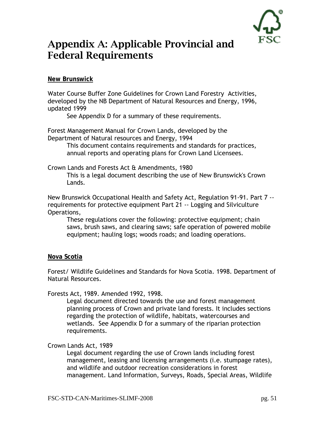

### Appendix A: Applicable Provincial and Federal Requirements

**New Brunswick** 

Water Course Buffer Zone Guidelines for Crown Land Forestry Activities, developed by the NB Department of Natural Resources and Energy, 1996, updated 1999

See Appendix D for a summary of these requirements.

Forest Management Manual for Crown Lands, developed by the Department of Natural resources and Energy, 1994

> This document contains requirements and standards for practices, annual reports and operating plans for Crown Land Licensees.

Crown Lands and Forests Act & Amendments, 1980

This is a legal document describing the use of New Brunswick's Crown Lands.

New Brunswick Occupational Health and Safety Act, Regulation 91-91. Part 7 - requirements for protective equipment Part 21 -- Logging and Silviculture Operations,

These regulations cover the following: protective equipment; chain saws, brush saws, and clearing saws; safe operation of powered mobile equipment; hauling logs; woods roads; and loading operations.

#### **Nova Scotia**

Forest/ Wildlife Guidelines and Standards for Nova Scotia. 1998. Department of Natural Resources.

Forests Act, 1989. Amended 1992, 1998.

Legal document directed towards the use and forest management planning process of Crown and private land forests. It includes sections regarding the protection of wildlife, habitats, watercourses and wetlands. See Appendix D for a summary of the riparian protection requirements.

#### Crown Lands Act, 1989

Legal document regarding the use of Crown lands including forest management, leasing and licensing arrangements (i.e. stumpage rates), and wildlife and outdoor recreation considerations in forest management. Land Information, Surveys, Roads, Special Areas, Wildlife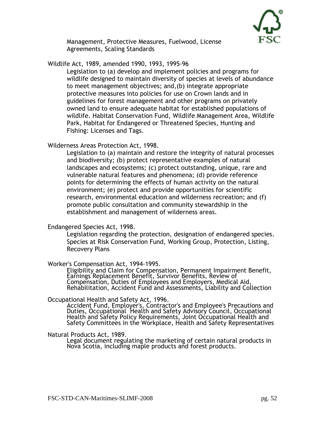

Management, Protective Measures, Fuelwood, License Agreements, Scaling Standards

Wildlife Act, 1989, amended 1990, 1993, 1995-96

Legislation to (a) develop and implement policies and programs for wildlife designed to maintain diversity of species at levels of abundance to meet management objectives; and,(b) integrate appropriate protective measures into policies for use on Crown lands and in guidelines for forest management and other programs on privately owned land to ensure adequate habitat for established populations of wildlife. Habitat Conservation Fund, Wildlife Management Area, Wildlife Park, Habitat for Endangered or Threatened Species, Hunting and Fishing: Licenses and Tags.

Wilderness Areas Protection Act, 1998.

Legislation to (a) maintain and restore the integrity of natural processes and biodiversity; (b) protect representative examples of natural landscapes and ecosystems; (c) protect outstanding, unique, rare and vulnerable natural features and phenomena; (d) provide reference points for determining the effects of human activity on the natural environment; (e) protect and provide opportunities for scientific research, environmental education and wilderness recreation; and (f) promote public consultation and community stewardship in the establishment and management of wilderness areas.

#### Endangered Species Act, 1998.

Legislation regarding the protection, designation of endangered species. Species at Risk Conservation Fund, Working Group, Protection, Listing, Recovery Plans

#### Worker's Compensation Act, 1994-1995.

Eligibility and Claim for Compensation, Permanent Impairment Benefit, Earnings Replacement Benefit, Survivor Benefits, Review of Compensation, Duties of Employees and Employers, Medical Aid, Rehabilitation, Accident Fund and Assessments, Liability and Collection

Occupational Health and Safety Act, 1996.<br>Accident Fund, Employer's, Contractor's and Employee's Precautions and<br>Duties, Occupational Health and Safety Advisory Council, Occupational<br>Health and Safety Policy Requirements,

Natural Products Act, 1989.

Legal document regulating the marketing of certain natural products in<br>Nova Scotia, including maple products and forest products.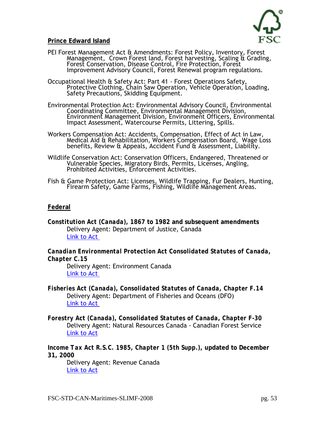

#### **Prince Edward Island**

- PEI Forest Management Act & Amendments: Forest Policy, Inventory, Forest Management, Crown Forest land, Forest harvesting, Scaling & Grading, Forest Conservation, Disease Control, Fire Protection, Forest Improvement Advisory Council, Forest Renewal program regulations.
- Occupational Health & Safety Act: Part 41 Forest Operations Safety,<br>Protective Clothing, Chain Saw Operation, Vehicle Operation, Loading,<br>Safety Precautions, Skidding Equipment.
- Environmental Protection Act: Environmental Advisory Council, Environmental Coordinating Committee, Environmental Management Division, Environment Management Division, Environment Officers, Environmental Impact Assessment, Watercourse Permits, Littering, Spills.
- Workers Compensation Act: Accidents, Compensation, Effect of Act in Law,<br>Medical Aid & Rehabilitation, Workers Compensation Board, Wage Loss<br>benefits, Review & Appeals, Accident Fund & Assessment, Liability.
- Wildlife Conservation Act: Conservation Officers, Endangered, Threatened or Vulnerable Species, Migratory Birds, Permits, Licenses, Angling, Prohibited Activities, Enforcement Activities.
- Fish & Game Protection Act: Licenses, Wildlife Trapping, Fur Dealers, Hunting, Firearm Safety, Game Farms, Fishing, Wildlife Management Areas.

#### **Federal**

*Constitution Act (Canada)***, 1867 to 1982 and subsequent amendments** Delivery Agent: Department of Justice, Canada [Link to Act](http://laws.justice.gc.ca/en/const/index.html) 

*Canadian Environmental Protection Act Consolidated Statutes of Canada, Chapter C.15*

Delivery Agent: Environment Canada [Link to Act](http://laws.justice.gc.ca/en/C-15.31/24440.html) 

- *Fisheries Act (Canada), Consolidated Statutes of Canada, Chapter F.14* Delivery Agent: Department of Fisheries and Oceans (DFO) [Link to Act](http://laws.justice.gc.ca/en/F-14/52103.html)
- *Forestry Act (Canada), Consolidated Statutes of Canada, Chapter F-30* Delivery Agent: Natural Resources Canada - Canadian Forest Service [Link to Act](http://laws.justice.gc.ca/en/F-30/53450.html)

*Income Tax Act R.S.C. 1985, Chapter 1 (5th Supp.)***, updated to December 31, 2000**

Delivery Agent: Revenue Canada [Link to Act](http://laws.justice.gc.ca/en/I-3.3/56904.html)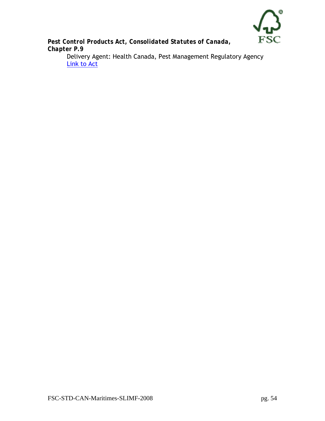

*Pest Control Products Act, Consolidated Statutes of Canada, Chapter P.9* 

Delivery Agent: Health Canada, Pest Management Regulatory Agency [Link to Act](http://laws.justice.gc.ca/en/P-9/79987.html)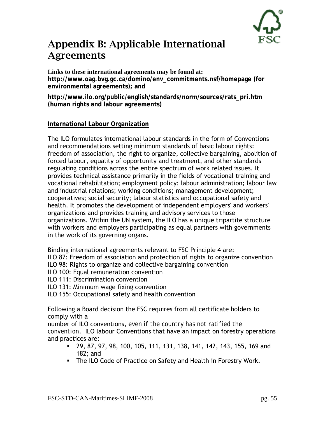### Appendix B: Applicable International Agreements

#### **Links to these international agreements may be found at:**

**http://www.oag.bvg.gc.ca/domino/env\_commitments.nsf/homepage (for environmental agreements); and** 

**http://www.ilo.org/public/english/standards/norm/sources/rats\_pri.htm (human rights and labour agreements)** 

#### **International Labour Organization**

The ILO formulates international labour standards in the form of Conventions and recommendations setting minimum standards of basic labour rights: freedom of association, the right to organize, collective bargaining, abolition of forced labour, equality of opportunity and treatment, and other standards regulating conditions across the entire spectrum of work related issues. It provides technical assistance primarily in the fields of vocational training and vocational rehabilitation; employment policy; labour administration; labour law and industrial relations; working conditions; management development; cooperatives; social security; labour statistics and occupational safety and health. It promotes the development of independent employers' and workers' organizations and provides training and advisory services to those organizations. Within the UN system, the ILO has a unique tripartite structure with workers and employers participating as equal partners with governments in the work of its governing organs.

Binding international agreements relevant to FSC Principle 4 are:

ILO 87: Freedom of association and protection of rights to organize convention

- ILO 98: Rights to organize and collective bargaining convention
- ILO 100: Equal remuneration convention
- ILO 111: Discrimination convention
- ILO 131: Minimum wage fixing convention
- ILO 155: Occupational safety and health convention

Following a Board decision the FSC requires from all certificate holders to comply with a

number of ILO conventions, *even if the country has not ratified the convention*. ILO labour Conventions that have an impact on forestry operations and practices are:

- 29, 87, 97, 98, 100, 105, 111, 131, 138, 141, 142, 143, 155, 169 and 182; and
- **The ILO Code of Practice on Safety and Health in Forestry Work.**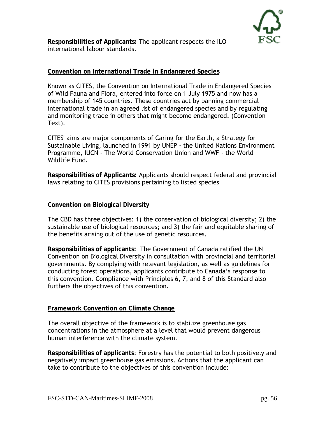

**Responsibilities of Applicants:** The applicant respects the ILO international labour standards.

#### **Convention on International Trade in Endangered Species**

Known as CITES, the Convention on International Trade in Endangered Species of Wild Fauna and Flora, entered into force on 1 July 1975 and now has a membership of 145 countries. These countries act by banning commercial international trade in an agreed list of endangered species and by regulating and monitoring trade in others that might become endangered. (Convention Text).

CITES' aims are major components of Caring for the Earth, a Strategy for Sustainable Living, launched in 1991 by UNEP - the United Nations Environment Programme, IUCN - The World Conservation Union and WWF - the World Wildlife Fund.

**Responsibilities of Applicants:** Applicants should respect federal and provincial laws relating to CITES provisions pertaining to listed species

#### **Convention on Biological Diversity**

The CBD has three objectives: 1) the conservation of biological diversity; 2) the sustainable use of biological resources; and 3) the fair and equitable sharing of the benefits arising out of the use of genetic resources.

**Responsibilities of applicants:** The Government of Canada ratified the UN Convention on Biological Diversity in consultation with provincial and territorial governments. By complying with relevant legislation, as well as guidelines for conducting forest operations, applicants contribute to Canada's response to this convention. Compliance with Principles 6, 7, and 8 of this Standard also furthers the objectives of this convention.

#### **Framework Convention on Climate Change**

The overall objective of the framework is to stabilize greenhouse gas concentrations in the atmosphere at a level that would prevent dangerous human interference with the climate system.

**Responsibilities of applicants**: Forestry has the potential to both positively and negatively impact greenhouse gas emissions. Actions that the applicant can take to contribute to the objectives of this convention include: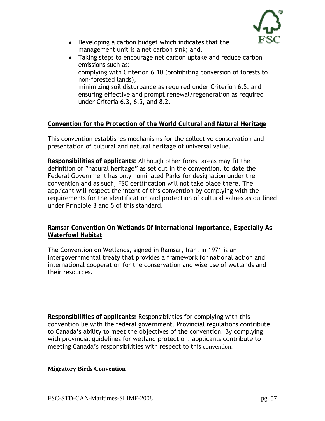

- Developing a carbon budget which indicates that the management unit is a net carbon sink; and,
- Taking steps to encourage net carbon uptake and reduce carbon emissions such as: complying with Criterion 6.10 (prohibiting conversion of forests to non-forested lands), minimizing soil disturbance as required under Criterion 6.5, and ensuring effective and prompt renewal/regeneration as required under Criteria 6.3, 6.5, and 8.2.

### **Convention for the Protection of the World Cultural and Natural Heritage**

This convention establishes mechanisms for the collective conservation and presentation of cultural and natural heritage of universal value.

**Responsibilities of applicants:** Although other forest areas may fit the definition of "natural heritage" as set out in the convention, to date the Federal Government has only nominated Parks for designation under the convention and as such, FSC certification will not take place there. The applicant will respect the intent of this convention by complying with the requirements for the identification and protection of cultural values as outlined under Principle 3 and 5 of this standard.

#### **Ramsar Convention On Wetlands Of International Importance, Especially As Waterfowl Habitat**

The Convention on Wetlands, signed in Ramsar, Iran, in 1971 is an intergovernmental treaty that provides a framework for national action and international cooperation for the conservation and wise use of wetlands and their resources.

**Responsibilities of applicants:** Responsibilities for complying with this convention lie with the federal government. Provincial regulations contribute to Canada's ability to meet the objectives of the convention. By complying with provincial guidelines for wetland protection, applicants contribute to meeting Canada's responsibilities with respect to this convention.

#### **Migratory Birds Convention**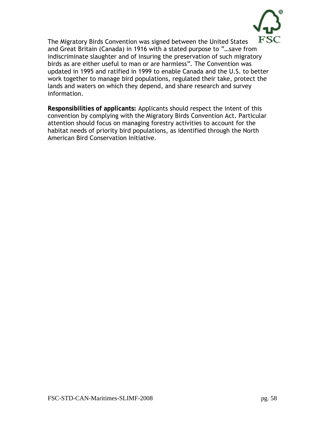

The Migratory Birds Convention was signed between the United States and Great Britain (Canada) in 1916 with a stated purpose to "…save from indiscriminate slaughter and of insuring the preservation of such migratory birds as are either useful to man or are harmless". The Convention was updated in 1995 and ratified in 1999 to enable Canada and the U.S. to better work together to manage bird populations, regulated their take, protect the lands and waters on which they depend, and share research and survey information.

**Responsibilities of applicants:** Applicants should respect the intent of this convention by complying with the Migratory Birds Convention Act. Particular attention should focus on managing forestry activities to account for the habitat needs of priority bird populations, as identified through the North American Bird Conservation Initiative.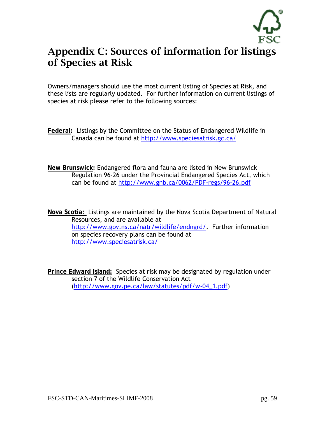

### Appendix C: Sources of information for listings of Species at Risk

Owners/managers should use the most current listing of Species at Risk, and these lists are regularly updated. For further information on current listings of species at risk please refer to the following sources:

- **Federal:** Listings by the Committee on the Status of Endangered Wildlife in Canada can be found at<http://www.speciesatrisk.gc.ca/>
- **New Brunswick:** Endangered flora and fauna are listed in New Brunswick Regulation 96-26 under the Provincial Endangered Species Act, which can be found at<http://www.gnb.ca/0062/PDF-regs/96-26.pdf>

**Nova Scotia:** Listings are maintained by the Nova Scotia Department of Natural Resources, and are available at <http://www.gov.ns.ca/natr/wildlife/endngrd/>. Further information on species recovery plans can be found at <http://www.speciesatrisk.ca/>

**Prince Edward Island:** Species at risk may be designated by regulation under section 7 of the Wildlife Conservation Act [\(http://www.gov.pe.ca/law/statutes/pdf/w-04\\_1.pdf\)](http://www.gov.pe.ca/law/statutes/pdf/w-04_1.pdf)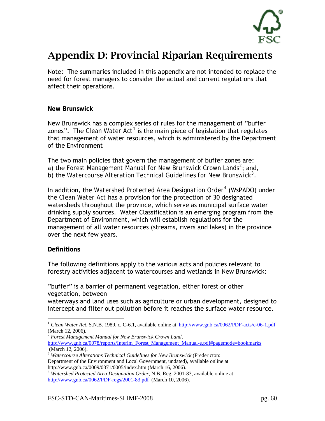

### Appendix D: Provincial Riparian Requirements

Note: The summaries included in this appendix are not intended to replace the need for forest managers to consider the actual and current regulations that affect their operations.

#### **New Brunswick**

New Brunswick has a complex series of rules for the management of "buffer zones". The *Clean Water Act*<sup>[1](#page-59-0)</sup> is the main piece of legislation that regulates that management of water resources, which is administered by the Department of the Environment

The two main policies that govern the management of buffer zones are: a) the *Forest Management Manual for New Brunswick Crown Lands[2](#page-59-1)* ; and, b) the *Watercourse Alteration Technical Guidelines for New Brunswick[3](#page-59-2)* .

In addition, the *Watershed Protected Area Designation Order*[4](#page-59-3) (WsPADO) under the *Clean Water Act* has a provision for the protection of 30 designated watersheds throughout the province, which serve as municipal surface water drinking supply sources. Water Classification is an emerging program from the Department of Environment, which will establish regulations for the management of all water resources (streams, rivers and lakes) in the province over the next few years.

#### **Definitions**

 $\overline{a}$ 

The following definitions apply to the various acts and policies relevant to forestry activities adjacent to watercourses and wetlands in New Brunswick:

"buffer" is a barrier of permanent vegetation, either forest or other vegetation, between

waterways and land uses such as agriculture or urban development, designed to intercept and filter out pollution before it reaches the surface water resource.

<span id="page-59-1"></span><sup>2</sup> *Forest Management Manual for New Brunswick Crown Land*, [http://www.gnb.ca/0078/reports/Interim\\_Forest\\_Management\\_Manual-e.pdf#pagemode=bookmarks](http://www.gnb.ca/0078/reports/Interim_Forest_Management_Manual-e.pdf#pagemode=bookmarks) (March 12, 2006).

<span id="page-59-0"></span><sup>&</sup>lt;sup>1</sup> *Clean Water Act*, S.N.B. 1989, c. C-6.1, available online at <http://www.gnb.ca/0062/PDF-acts/c-06-1.pdf> (March 12, 2006).

<span id="page-59-2"></span><sup>&</sup>lt;sup>3</sup> Watercourse Alterations Technical Guidelines for New Brunswick (Fredericton: Department of the Environment and Local Government, undated), available online at http://www.gnb.ca/0009/0371/0005/index.htm (March 16, 2006). 4 *Watershed Protected Area Designation Order,* N.B. Reg. 2001-83, available online at

<span id="page-59-3"></span><http://www.gnb.ca/0062/PDF-regs/2001-83.pdf> (March 10, 2006).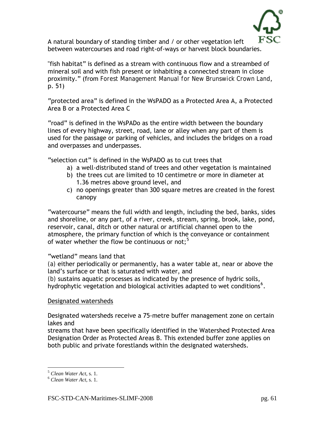

A natural boundary of standing timber and / or other vegetation left between watercourses and road right-of-ways or harvest block boundaries.

"fish habitat" is defined as a stream with continuous flow and a streambed of mineral soil and with fish present or inhabiting a connected stream in close proximity." (from *Forest Management Manual for New Brunswick Crown Land*, p. 51)

"protected area" is defined in the WsPADO as a Protected Area A, a Protected Area B or a Protected Area C

"road" is defined in the WsPADo as the entire width between the boundary lines of every highway, street, road, lane or alley when any part of them is used for the passage or parking of vehicles, and includes the bridges on a road and overpasses and underpasses.

"selection cut" is defined in the WsPADO as to cut trees that

- a) a well-distributed stand of trees and other vegetation is maintained
- b) the trees cut are limited to 10 centimetre or more in diameter at 1.36 metres above ground level, and
- c) no openings greater than 300 square metres are created in the forest canopy

"watercourse" means the full width and length, including the bed, banks, sides and shoreline, or any part, of a river, creek, stream, spring, brook, lake, pond, reservoir, canal, ditch or other natural or artificial channel open to the atmosphere, the primary function of which is the conveyance or containment of water whether the flow be continuous or not; $5$ 

"wetland" means land that

*(a)* either periodically or permanently, has a water table at, near or above the land's surface or that is saturated with water, and

*(b)* sustains aquatic processes as indicated by the presence of hydric soils, hydrophytic vegetation and biological activities adapted to wet conditions<sup>[6](#page-60-1)</sup>.

#### Designated watersheds

Designated watersheds receive a 75-metre buffer management zone on certain lakes and

streams that have been specifically identified in the Watershed Protected Area Designation Order as Protected Areas B. This extended buffer zone applies on both public and private forestlands within the designated watersheds.

 $\overline{a}$ 

<span id="page-60-0"></span><sup>5</sup> *Clean Water Act*, s. 1. 6 *Clean Water Act*, s. 1.

<span id="page-60-1"></span>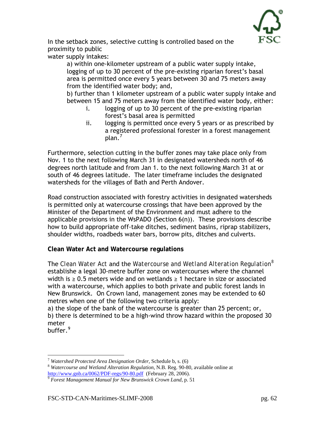In the setback zones, selective cutting is controlled based on the proximity to public

water supply intakes:

a) within one-kilometer upstream of a public water supply intake, logging of up to 30 percent of the pre-existing riparian forest's basal area is permitted once every 5 years between 30 and 75 meters away from the identified water body; and,

b) further than 1 kilometer upstream of a public water supply intake and between 15 and 75 meters away from the identified water body, either:

- i. logging of up to 30 percent of the pre-existing riparian forest's basal area is permitted
- ii. logging is permitted once every 5 years or as prescribed by a registered professional forester in a forest management  $plan.^7$  $plan.^7$

Furthermore, selection cutting in the buffer zones may take place only from Nov. 1 to the next following March 31 in designated watersheds north of 46 degrees north latitude and from Jan 1. to the next following March 31 at or south of 46 degrees latitude. The later timeframe includes the designated watersheds for the villages of Bath and Perth Andover.

Road construction associated with forestry activities in designated watersheds is permitted only at watercourse crossings that have been approved by the Minister of the Department of the Environment and must adhere to the applicable provisions in the WsPADO (Section 6(n)). These provisions describe how to build appropriate off-take ditches, sediment basins, riprap stabilizers, shoulder widths, roadbeds water bars, borrow pits, ditches and culverts.

**Clean Water Act and Watercourse regulations** 

The *Clean Water Act* and the *Watercourse and Wetland Alteration Regulation[8](#page-61-1)* establishe a legal 30-metre buffer zone on watercourses where the channel width is ≥ 0.5 meters wide and on wetlands ≥ 1 hectare in size or associated with a watercourse, which applies to both private and public forest lands in New Brunswick. On Crown land, management zones may be extended to 60 metres when one of the following two criteria apply:

a) the slope of the bank of the watercourse is greater than 25 percent; or, b) there is determined to be a high-wind throw hazard within the proposed 30 meter

buffer.<sup>[9](#page-61-2)</sup>

 $\overline{a}$ 

<span id="page-61-1"></span><span id="page-61-0"></span><sup>&</sup>lt;sup>7</sup> *Watershed Protected Area Designation Order*, Schedule b, s. (6)<br><sup>8</sup> *Watercourse and Wetland Alteration Regulation*, N.B. Reg. 90-80, available online at <http://www.gnb.ca/0062/PDF-regs/90-80.pdf> (February 28, 2006). [9](http://www.gnb.ca/0062/PDF-regs/90-80.pdf) *Forest Management Manual for New Brunswick Crown Land*, p. 51

<span id="page-61-2"></span>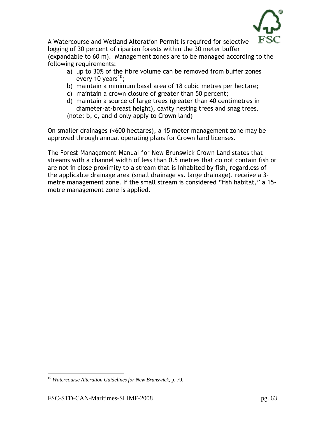

A Watercourse and Wetland Alteration Permit is required for selective logging of 30 percent of riparian forests within the 30 meter buffer (expandable to 60 m). Management zones are to be managed according to the following requirements:

- a) up to 30% of the fibre volume can be removed from buffer zones every [10](#page-62-0) years<sup>10</sup>;
- b) maintain a minimum basal area of 18 cubic metres per hectare;
- c) maintain a crown closure of greater than 50 percent;
- d) maintain a source of large trees (greater than 40 centimetres in diameter-at-breast height), cavity nesting trees and snag trees. (note: b, c, and d only apply to Crown land)

On smaller drainages (<600 hectares), a 15 meter management zone may be approved through annual operating plans for Crown land licenses.

The *Forest Management Manual for New Brunswick Crown Land* states that streams with a channel width of less than 0.5 metres that do not contain fish or are not in close proximity to a stream that is inhabited by fish, regardless of the applicable drainage area (small drainage vs. large drainage), receive a 3 metre management zone. If the small stream is considered "fish habitat," a 15 metre management zone is applied.

 $\overline{a}$ 

<span id="page-62-0"></span><sup>10</sup> *Watercourse Alteration Guidelines for New Brunswick*, p. 79.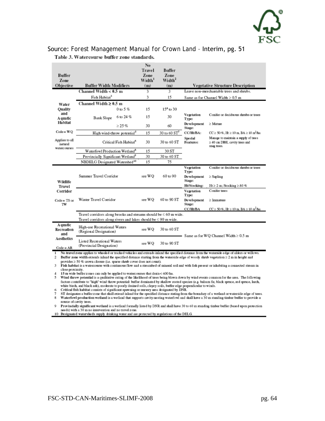

### Source: *Forest Management Manual for Crown Land* – Interim, pg. 51

| Buffer<br>Zone<br>Objective                                                                                                                                                                                                                                                                                                                                                                                                                                                                                                                                                                                                                                                                                                                                                                                                                                                                                                                                                                                                                                                                                                                                                                                                                                                                                                                                                                                                                                                                                          | <b>Buffer Width Modifiers</b>                                                                                                                                                           |                                        | No<br>Travel<br>Zone<br>Width <sup>1</sup><br>(m) | Buffer<br>Zone<br>Width <sup>2</sup><br>(m) |                                                                 | Vegetative Structure Description                                                                  |  |
|----------------------------------------------------------------------------------------------------------------------------------------------------------------------------------------------------------------------------------------------------------------------------------------------------------------------------------------------------------------------------------------------------------------------------------------------------------------------------------------------------------------------------------------------------------------------------------------------------------------------------------------------------------------------------------------------------------------------------------------------------------------------------------------------------------------------------------------------------------------------------------------------------------------------------------------------------------------------------------------------------------------------------------------------------------------------------------------------------------------------------------------------------------------------------------------------------------------------------------------------------------------------------------------------------------------------------------------------------------------------------------------------------------------------------------------------------------------------------------------------------------------------|-----------------------------------------------------------------------------------------------------------------------------------------------------------------------------------------|----------------------------------------|---------------------------------------------------|---------------------------------------------|-----------------------------------------------------------------|---------------------------------------------------------------------------------------------------|--|
|                                                                                                                                                                                                                                                                                                                                                                                                                                                                                                                                                                                                                                                                                                                                                                                                                                                                                                                                                                                                                                                                                                                                                                                                                                                                                                                                                                                                                                                                                                                      | Channel Width $< 0.5$ m                                                                                                                                                                 |                                        | 3                                                 | 3                                           |                                                                 | Leave non-merchantable trees and shrubs.                                                          |  |
|                                                                                                                                                                                                                                                                                                                                                                                                                                                                                                                                                                                                                                                                                                                                                                                                                                                                                                                                                                                                                                                                                                                                                                                                                                                                                                                                                                                                                                                                                                                      | Fish Habitat <sup>3</sup>                                                                                                                                                               |                                        | 3                                                 | 15                                          |                                                                 | Same as for Channel Width $\geq 0.5$ m                                                            |  |
| Water                                                                                                                                                                                                                                                                                                                                                                                                                                                                                                                                                                                                                                                                                                                                                                                                                                                                                                                                                                                                                                                                                                                                                                                                                                                                                                                                                                                                                                                                                                                | Channel Width $\geq 0.5$ m                                                                                                                                                              |                                        |                                                   |                                             |                                                                 |                                                                                                   |  |
| Ouality<br>and<br>A quatic                                                                                                                                                                                                                                                                                                                                                                                                                                                                                                                                                                                                                                                                                                                                                                                                                                                                                                                                                                                                                                                                                                                                                                                                                                                                                                                                                                                                                                                                                           | Bank Slope                                                                                                                                                                              | $0$ to 5 %                             | 15                                                | $154$ to 30                                 |                                                                 |                                                                                                   |  |
|                                                                                                                                                                                                                                                                                                                                                                                                                                                                                                                                                                                                                                                                                                                                                                                                                                                                                                                                                                                                                                                                                                                                                                                                                                                                                                                                                                                                                                                                                                                      |                                                                                                                                                                                         | 6 to 24 %                              | 15                                                | 30                                          | Vegetation<br>Type:                                             | Conifer or deciduous shrubs or trees                                                              |  |
| Habitat                                                                                                                                                                                                                                                                                                                                                                                                                                                                                                                                                                                                                                                                                                                                                                                                                                                                                                                                                                                                                                                                                                                                                                                                                                                                                                                                                                                                                                                                                                              |                                                                                                                                                                                         | $> 25 \%$                              | 30                                                | 60                                          | Development<br>Stage:                                           | $\geq$ Mature                                                                                     |  |
| $Code = WQ$                                                                                                                                                                                                                                                                                                                                                                                                                                                                                                                                                                                                                                                                                                                                                                                                                                                                                                                                                                                                                                                                                                                                                                                                                                                                                                                                                                                                                                                                                                          |                                                                                                                                                                                         | High wind-throw potential <sup>5</sup> |                                                   | $30$ to 60 $ST7$                            | CC/Ht/BA:                                                       | $CC \ge 50\%$ , Ht $\ge 10$ m, BA $\ge 18$ m <sup>2</sup> /ha                                     |  |
| Applies to all<br>natural                                                                                                                                                                                                                                                                                                                                                                                                                                                                                                                                                                                                                                                                                                                                                                                                                                                                                                                                                                                                                                                                                                                                                                                                                                                                                                                                                                                                                                                                                            | Critical Fish Habitat <sup>6</sup>                                                                                                                                                      |                                        | 30                                                | 30 to 60 ST                                 | Special<br><b>Features:</b>                                     | Manage to maintain a supply of trees<br>$\geq$ 40 cm DBH, cavity trees and<br>snag trees.         |  |
| watercourses                                                                                                                                                                                                                                                                                                                                                                                                                                                                                                                                                                                                                                                                                                                                                                                                                                                                                                                                                                                                                                                                                                                                                                                                                                                                                                                                                                                                                                                                                                         | Waterfowl Production Wetland <sup>8</sup>                                                                                                                                               |                                        | 15                                                | 30 ST                                       |                                                                 |                                                                                                   |  |
|                                                                                                                                                                                                                                                                                                                                                                                                                                                                                                                                                                                                                                                                                                                                                                                                                                                                                                                                                                                                                                                                                                                                                                                                                                                                                                                                                                                                                                                                                                                      | Provincially Significant Wetland <sup>9</sup>                                                                                                                                           |                                        | 30                                                | 30 to 60 ST                                 |                                                                 |                                                                                                   |  |
|                                                                                                                                                                                                                                                                                                                                                                                                                                                                                                                                                                                                                                                                                                                                                                                                                                                                                                                                                                                                                                                                                                                                                                                                                                                                                                                                                                                                                                                                                                                      | NBDELG Designated Watershed <sup>10</sup>                                                                                                                                               |                                        | 15                                                | 75                                          |                                                                 |                                                                                                   |  |
| Wildlife<br>Travel<br>Corridor<br>$Code = TS or$<br>TW                                                                                                                                                                                                                                                                                                                                                                                                                                                                                                                                                                                                                                                                                                                                                                                                                                                                                                                                                                                                                                                                                                                                                                                                                                                                                                                                                                                                                                                               | Summer Travel Corridor                                                                                                                                                                  |                                        | see WQ                                            | 60 to 90                                    | Vegetation<br>Type:<br>Development<br>Stage:<br>Ht/Stocking:    | Conifer or deciduous shrubs or trees<br>$\geq$ Sapling<br>$Ht \ge 2$ m; Stocking $\ge 80$ %       |  |
|                                                                                                                                                                                                                                                                                                                                                                                                                                                                                                                                                                                                                                                                                                                                                                                                                                                                                                                                                                                                                                                                                                                                                                                                                                                                                                                                                                                                                                                                                                                      | Winter Travel Corridor                                                                                                                                                                  |                                        | see WO                                            | 60 to 90 ST                                 | Vegetation<br>Type:<br><b>Development</b><br>Stage:<br>CC/Ht/BA | Conifer trees<br>$\geq$ Immature<br>$CC \ge 50\%$ , Ht $\ge 10$ m, BA $\ge 18$ m <sup>2</sup> /ha |  |
|                                                                                                                                                                                                                                                                                                                                                                                                                                                                                                                                                                                                                                                                                                                                                                                                                                                                                                                                                                                                                                                                                                                                                                                                                                                                                                                                                                                                                                                                                                                      | Travel corridors along brooks and streams should be $\leq 60$ m wide.                                                                                                                   |                                        |                                                   |                                             |                                                                 |                                                                                                   |  |
| A quatic<br>Recreation<br>and                                                                                                                                                                                                                                                                                                                                                                                                                                                                                                                                                                                                                                                                                                                                                                                                                                                                                                                                                                                                                                                                                                                                                                                                                                                                                                                                                                                                                                                                                        | Travel corridors along rivers and lakes should be $\leq 90$ m wide.<br>High-use Recreational Waters<br>(Regional Designation)<br>Listed Recreational Waters<br>(Provincial Designation) |                                        | see WO                                            | 30 to 60 ST                                 | Same as for WQ Channel Width $\geq 0.5$ m                       |                                                                                                   |  |
| <b>Aesthetics</b><br>$Code = AR$                                                                                                                                                                                                                                                                                                                                                                                                                                                                                                                                                                                                                                                                                                                                                                                                                                                                                                                                                                                                                                                                                                                                                                                                                                                                                                                                                                                                                                                                                     |                                                                                                                                                                                         |                                        | see WO                                            | 30 to 90 ST                                 |                                                                 |                                                                                                   |  |
| No travel zone applies to wheeled or tracked vehicles and extends inland the specified distance from the waterside edge of alders or willows.<br>$\mathbf{1}$<br>Buffer zone width extends inland the specified distance starting from the waterside edge of woody shrub vegetation $\geq 2$ m in height and<br>$\mathbf{2}$<br>provides ≥ 50 % crown closure (i.e. sparse shrub cover does not count).<br>3<br>Fish habitat is a watercourse with continuous flow and a streambed of mineral soil and with fish present or inhabiting a connected stream in<br>close proximity.<br>15 m wide buffer zones can only be applied to watercourses that drain < 600 ha.<br>4<br>Wind throw potential is a qualitative rating of the likelihood of trees being blown down by wind events common for the area. The following<br>5.<br>factors contribute to "high" wind throw potential: buffer dominated by shallow rooted species (e.g. balsam fir, black spruce, red spruce, larch,<br>white birch, and black ash), moderate to poorly drained soils, clayey soils, buffer edge perpendicular to winds.<br>Critical fish habitat consists of significant spawning or nursery area designated by DNR.<br>6<br>7<br>ST designates a buffer zone that shall extend inland for the specified distance stating from the boundary of a wetland or waterside edge of trees.<br>8<br>Waterfowl production wetland is a wetland that supports cavity-nesting waterfowl and shall have a 30 m standing timber buffer to provide a |                                                                                                                                                                                         |                                        |                                                   |                                             |                                                                 |                                                                                                   |  |

#### Table 3. Watercourse buffer zone standards.

source of cavity trees. Provincially significant wetland is a wetland formally listed by DNR and shall have 30 to 60 m standing timber buffer (based upon protection 9 needs) with a 30 m no intervention and no travel zone.<br>10 Designated watersheds supply drinking water and are protected by regulations of the DELG.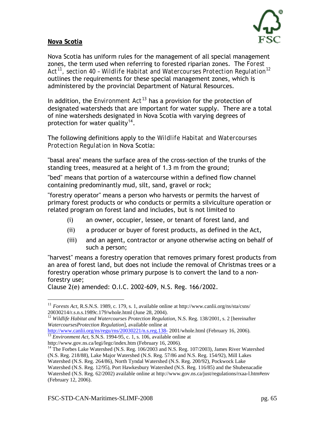

#### **Nova Scotia**

 $\overline{a}$ 

Nova Scotia has uniform rules for the management of all special management zones, the term used when referring to forested riparian zones. The *Forest Act[11](#page-64-0), section 40 – Wildlife Habitat and Watercourses Protection Regulation[12](#page-64-1)* outlines the requirements for these special management zones, which is administered by the provincial Department of Natural Resources.

In addition, the *Environment Act[13](#page-64-2)* has a provision for the protection of designated watersheds that are important for water supply. There are a total of nine watersheds designated in Nova Scotia with varying degrees of protection for water quality<sup>[14](#page-64-3)</sup>.

The following definitions apply to the *Wildlife Habitat and Watercourses Protection Regulation* in Nova Scotia:

"basal area" means the surface area of the cross-section of the trunks of the standing trees, measured at a height of 1.3 m from the ground;

"bed" means that portion of a watercourse within a defined flow channel containing predominantly mud, silt, sand, gravel or rock;

"forestry operator" means a person who harvests or permits the harvest of primary forest products or who conducts or permits a silviculture operation or related program on forest land and includes, but is not limited to

- (i) an owner, occupier, lessee, or tenant of forest land, and
- (ii) a producer or buyer of forest products, as defined in the Act,
- (iii) and an agent, contractor or anyone otherwise acting on behalf of such a person;

"harvest" means a forestry operation that removes primary forest products from an area of forest land, but does not include the removal of Christmas trees or a forestry operation whose primary purpose is to convert the land to a nonforestry use;

Clause 2(e) amended: O.I.C. 2002-609, N.S. Reg. 166/2002.

<span id="page-64-2"></span><http://www.canlii.org/ns/regu/rns/20030221/n.s.reg.138-> 2001/whole.html (February 16, 2006).<br><sup>[13](http://www.canlii.org/ns/regu/rns/20030221/n.s.reg.138-)</sup> *Environment Act*, S.N.S. 1994-95, c. 1, s. 106, available online at http://www.gov.ns.ca/legi/legc/index.htm (February 16,

<span id="page-64-0"></span><sup>11</sup> *Forests Act,* R.S.N.S. 1989, c. 179, s. 1, available online at http://www.canlii.org/ns/sta/csns/ 20030214/r.s.n.s.1989c.179/whole.html (June 28, 2004).

<span id="page-64-1"></span><sup>&</sup>lt;sup>12</sup> Wildlife Habitat and Watercourses Protection Regulation, N.S. Reg. 138/2001, s. 2 [hereinafter *WatercoursesProtection Regulation*], available online at

<span id="page-64-3"></span><sup>&</sup>lt;sup>14</sup> The Forbes Lake Watershed (N.S. Reg. 106/2003 and N.S. Reg. 107/2003), James River Watershed

<sup>(</sup>N.S. Reg. 218/88), Lake Major Watershed (N.S. Reg. 57/86 and N.S. Reg. 154/92), Mill Lakes

Watershed (N.S. Reg. 264/86), North Tyndal Watershed (N.S. Reg. 200/92), Pockwock Lake Watershed (N.S. Reg. 12/95), Port Hawkesbury Watershed (N.S. Reg. 116/85) and the Shubenacadie

Watershed (N.S. Reg. 62/2002) available online at http://www.gov.ns.ca/just/regulations/rxaa-l.htm#env (February 12, 2006).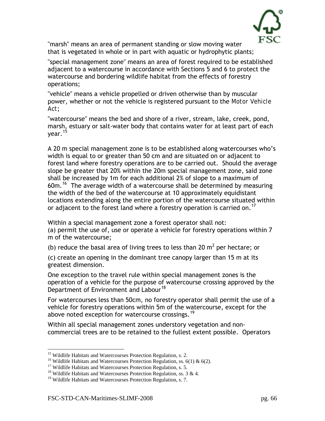

"marsh" means an area of permanent standing or slow moving water that is vegetated in whole or in part with aquatic or hydrophytic plants;

"special management zone" means an area of forest required to be established adjacent to a watercourse in accordance with Sections 5 and 6 to protect the watercourse and bordering wildlife habitat from the effects of forestry operations;

"vehicle" means a vehicle propelled or driven otherwise than by muscular power, whether or not the vehicle is registered pursuant to the *Motor Vehicle Act*;

"watercourse" means the bed and shore of a river, stream, lake, creek, pond, marsh, estuary or salt-water body that contains water for at least part of each year.<sup>[15](#page-65-0)</sup>

A 20 m special management zone is to be established along watercourses who's width is equal to or greater than 50 cm and are situated on or adjacent to forest land where forestry operations are to be carried out. Should the average slope be greater that 20% within the 20m special management zone, said zone shall be increased by 1m for each additional 2% of slope to a maximum of 60m.<sup>[16](#page-65-1)</sup> The average width of a watercourse shall be determined by measuring the width of the bed of the watercourse at 10 approximately equidistant locations extending along the entire portion of the watercourse situated within or adjacent to the forest land where a forestry operation is carried on.<sup>[17](#page-65-2)</sup>

Within a special management zone a forest operator shall not: (a) permit the use of, use or operate a vehicle for forestry operations within 7 m of the watercourse;

(b) reduce the basal area of living trees to less than 20  $m^2$  per hectare; or

(c) create an opening in the dominant tree canopy larger than 15 m at its greatest dimension.

One exception to the travel rule within special management zones is the operation of a vehicle for the purpose of watercourse crossing approved by the Department of Environment and Labour<sup>[18](#page-65-3)</sup>

For watercourses less than 50cm, no forestry operator shall permit the use of a vehicle for forestry operations within 5m of the watercourse, except for the above noted exception for watercourse crossings.<sup>[19](#page-65-4)</sup>

Within all special management zones understory vegetation and noncommercial trees are to be retained to the fullest extent possible. Operators

<span id="page-65-0"></span><sup>&</sup>lt;sup>15</sup> Wildlife Habitats and Watercourses Protection Regulation, s. 2.

<span id="page-65-2"></span><span id="page-65-1"></span><sup>&</sup>lt;sup>16</sup> Wildlife Habitats and Watercourses Protection Regulation, ss. 6(1) & 6(2).<br><sup>17</sup> Wildlife Habitats and Watercourses Protection Regulation, s. 5.<br><sup>18</sup> Wildlife Habitats and Watercourses Protection Regulation, ss. 3 & 4

<span id="page-65-3"></span>

<span id="page-65-4"></span> $19$  Wildlife Habitats and Watercourses Protection Regulation, s. 7.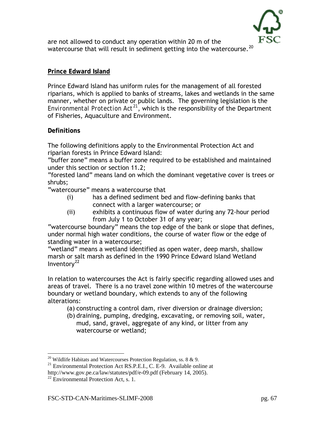

are not allowed to conduct any operation within 20 m of the watercourse that will result in sediment getting into the watercourse.<sup>[20](#page-66-0)</sup>

#### **Prince Edward Island**

Prince Edward Island has uniform rules for the management of all forested riparians, which is applied to banks of streams, lakes and wetlands in the same manner, whether on private or public lands. The governing legislation is the *Environmental Protection Act[21](#page-66-1)*, which is the responsibility of the Department of Fisheries, Aquaculture and Environment.

#### **Definitions**

The following definitions apply to the Environmental Protection Act and riparian forests in Prince Edward Island:

"buffer zone" means a buffer zone required to be established and maintained under this section or section 11.2;

"forested land" means land on which the dominant vegetative cover is trees or shrubs;

"watercourse" means a watercourse that

- (i) has a defined sediment bed and flow-defining banks that connect with a larger watercourse; or
- (ii) exhibits a continuous flow of water during any 72-hour period from July 1 to October 31 of any year;

"watercourse boundary" means the top edge of the bank or slope that defines, under normal high water conditions, the course of water flow or the edge of standing water in a watercourse;

"wetland" means a wetland identified as open water, deep marsh, shallow marsh or salt marsh as defined in the 1990 Prince Edward Island Wetland Inventory $^{22}$  $^{22}$  $^{22}$ 

In relation to watercourses the Act is fairly specific regarding allowed uses and areas of travel. There is a no travel zone within 10 metres of the watercourse boundary or wetland boundary, which extends to any of the following alterations:

- (a) constructing a control dam, river diversion or drainage diversion;
- (b) draining, pumping, dredging, excavating, or removing soil, water, mud, sand, gravel, aggregate of any kind, or litter from any watercourse or wetland;

 $\overline{a}$ 

<span id="page-66-0"></span><sup>&</sup>lt;sup>20</sup> Wildlife Habitats and Watercourses Protection Regulation, ss. 8 & 9.

<span id="page-66-1"></span> $21$  Environmental Protection Act RS.P.E.I., C. E-9. Available online at

http://www.gov.pe.ca/law/statutes/pdf/e-09.pdf (February 14, 2005).

<span id="page-66-2"></span> $22$  Environmental Protection Act, s. 1.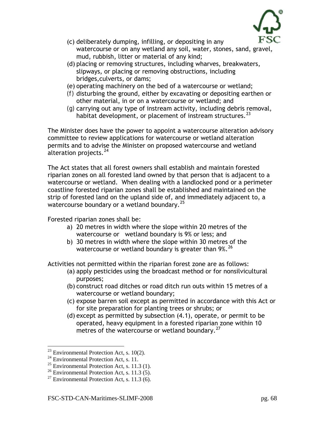

- (c) deliberately dumping, infilling, or depositing in any watercourse or on any wetland any soil, water, stones, sand, gravel, mud, rubbish, litter or material of any kind;
- (d) placing or removing structures, including wharves, breakwaters, slipways, or placing or removing obstructions, including bridges,culverts, or dams;
- (e) operating machinery on the bed of a watercourse or wetland;
- *(f)* disturbing the ground, either by excavating or depositing earthen or other material, in or on a watercourse or wetland; and
- *(g)* carrying out any type of instream activity, including debris removal, habitat development, or placement of instream structures.  $23$

The Minister does have the power to appoint a watercourse alteration advisory committee to review applications for watercourse or wetland alteration permits and to advise the Minister on proposed watercourse and wetland alteration projects.<sup>[24](#page-67-1)</sup>

The Act states that all forest owners shall establish and maintain forested riparian zones on all forested land owned by that person that is adjacent to a watercourse or wetland. When dealing with a landlocked pond or a perimeter coastline forested riparian zones shall be established and maintained on the strip of forested land on the upland side of, and immediately adjacent to, a watercourse boundary or a wetland boundary.<sup>[25](#page-67-2)</sup>

Forested riparian zones shall be:

- a) 20 metres in width where the slope within 20 metres of the watercourse or wetland boundary is 9% or less; and
- b) 30 metres in width where the slope within 30 metres of the watercourse or wetland boundary is greater than  $9\%$ . <sup>[26](#page-67-3)</sup>

Activities not permitted within the riparian forest zone are as follows:

- (a) apply pesticides using the broadcast method or for nonsilvicultural purposes;
- (b) construct road ditches or road ditch run outs within 15 metres of a watercourse or wetland boundary;
- (c) expose barren soil except as permitted in accordance with this Act or for site preparation for planting trees or shrubs; or
- (d) except as permitted by subsection (4.1), operate, or permit to be operated, heavy equipment in a forested riparian zone within 10 metres of the watercourse or wetland boundary. $27$

 $\overline{a}$  $23$  Environmental Protection Act, s. 10(2).

<span id="page-67-1"></span><span id="page-67-0"></span> $24$  Environmental Protection Act, s. 11.

<span id="page-67-2"></span><sup>&</sup>lt;sup>25</sup> Environmental Protection Act, s. 11.3 (1).

<span id="page-67-3"></span> $26$  Environmental Protection Act, s. 11.3 (5).

<span id="page-67-4"></span><sup>&</sup>lt;sup>27</sup> Environmental Protection Act, s. 11.3 (6).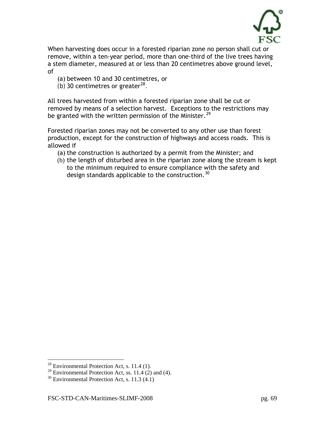

When harvesting does occur in a forested riparian zone no person shall cut or remove, within a ten-year period, more than one-third of the live trees having a stem diameter, measured at or less than 20 centimetres above ground level, of

(a) between 10 and 30 centimetres, or

*(b)* 30 centimetres or greater<sup>[28](#page-68-0)</sup>.

All trees harvested from within a forested riparian zone shall be cut or removed by means of a selection harvest. Exceptions to the restrictions may be granted with the written permission of the Minister.<sup>[29](#page-68-1)</sup>

Forested riparian zones may not be converted to any other use than forest production, except for the construction of highways and access roads. This is allowed if

- (a) the construction is authorized by a permit from the Minister; and
- (b) the length of disturbed area in the riparian zone along the stream is kept to the minimum required to ensure compliance with the safety and design standards applicable to the construction.<sup>[30](#page-68-2)</sup>

 $\overline{a}$ 

 $^{28}$  Environmental Protection Act, s. 11.4 (1).

<span id="page-68-1"></span><span id="page-68-0"></span><sup>&</sup>lt;sup>29</sup> Environmental Protection Act, ss. 11.4  $(2)$  and (4).

<span id="page-68-2"></span> $30$  Environmental Protection Act, s. 11.3 (4.1)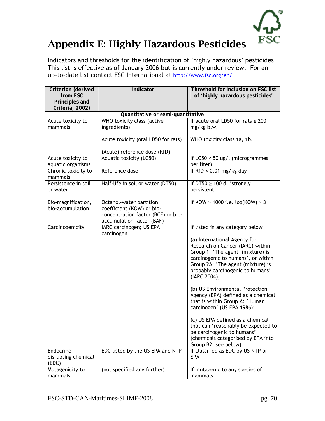

# Appendix E: Highly Hazardous Pesticides

Indicators and thresholds for the identification of 'highly hazardous' pesticides This list is effective as of January 2006 but is currently under review. For an up-to-date list contact FSC International at http://www.fsc.org/en/

| Criterion (derived<br>from FSC    | Indicator                             | Threshold for inclusion on FSC list<br>of 'highly hazardous pesticides' |  |  |  |  |  |
|-----------------------------------|---------------------------------------|-------------------------------------------------------------------------|--|--|--|--|--|
| Principles and                    |                                       |                                                                         |  |  |  |  |  |
| Criteria, 2002)                   |                                       |                                                                         |  |  |  |  |  |
| Quantitative or semi-quantitative |                                       |                                                                         |  |  |  |  |  |
| Acute toxicity to                 | WHO toxicity class (active            | If acute oral LD50 for rats $\leq 200$                                  |  |  |  |  |  |
| mammals                           | ingredients)                          | mg/kg b.w.                                                              |  |  |  |  |  |
|                                   | Acute toxicity (oral LD50 for rats)   | WHO toxicity class 1a, 1b.                                              |  |  |  |  |  |
|                                   | (Acute) reference dose (RfD)          |                                                                         |  |  |  |  |  |
| Acute toxicity to                 | Aquatic toxicity (LC50)               | If LC50 < 50 ug/l (microgrammes                                         |  |  |  |  |  |
| aquatic organisms                 |                                       | per liter)                                                              |  |  |  |  |  |
| Chronic toxicity to<br>mammals    | Reference dose                        | If RfD < $0.01$ mg/kg day                                               |  |  |  |  |  |
| Persistence in soil               | Half-life in soil or water (DT50)     | If DT50 $\geq$ 100 d, 'strongly                                         |  |  |  |  |  |
| or water                          |                                       | persistent'                                                             |  |  |  |  |  |
| Bio-magnification,                | Octanol-water partition               | If KOW > $1000$ i.e. $log(KOW) > 3$                                     |  |  |  |  |  |
| bio-accumulation                  | coefficient (KOW) or bio-             |                                                                         |  |  |  |  |  |
|                                   | concentration factor (BCF) or bio-    |                                                                         |  |  |  |  |  |
|                                   | accumulation factor (BAF)             |                                                                         |  |  |  |  |  |
| Carcinogenicity                   | IARC carcinogen; US EPA<br>carcinogen | If listed in any category below                                         |  |  |  |  |  |
|                                   |                                       | (a) International Agency for                                            |  |  |  |  |  |
|                                   |                                       | Research on Cancer (IARC) within                                        |  |  |  |  |  |
|                                   |                                       | Group 1: 'The agent (mixture) is                                        |  |  |  |  |  |
|                                   |                                       | carcinogenic to humans', or within                                      |  |  |  |  |  |
|                                   |                                       | Group 2A: 'The agent (mixture) is                                       |  |  |  |  |  |
|                                   |                                       | probably carcinogenic to humans'                                        |  |  |  |  |  |
|                                   |                                       | (IARC 2004);                                                            |  |  |  |  |  |
|                                   |                                       | (b) US Environmental Protection                                         |  |  |  |  |  |
|                                   |                                       | Agency (EPA) defined as a chemical                                      |  |  |  |  |  |
|                                   |                                       | that is within Group A: 'Human                                          |  |  |  |  |  |
|                                   |                                       | carcinogen' (US EPA 1986);                                              |  |  |  |  |  |
|                                   |                                       |                                                                         |  |  |  |  |  |
|                                   |                                       | (c) US EPA defined as a chemical                                        |  |  |  |  |  |
|                                   |                                       | that can 'reasonably be expected to                                     |  |  |  |  |  |
|                                   |                                       | be carcinogenic to humans'<br>(chemicals categorised by EPA into        |  |  |  |  |  |
|                                   |                                       | Group B2, see below)                                                    |  |  |  |  |  |
| Endocrine                         | EDC listed by the US EPA and NTP      | If classified as EDC by US NTP or                                       |  |  |  |  |  |
| disrupting chemical               |                                       | <b>EPA</b>                                                              |  |  |  |  |  |
| (EDC)                             |                                       |                                                                         |  |  |  |  |  |
| Mutagenicity to                   | (not specified any further)           | If mutagenic to any species of                                          |  |  |  |  |  |
| mammals                           |                                       | mammals                                                                 |  |  |  |  |  |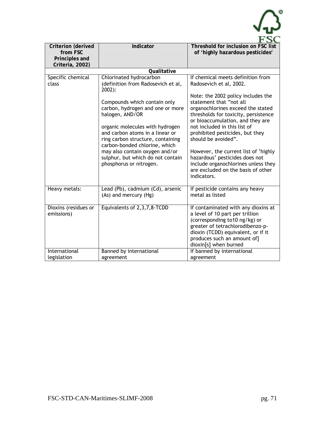| Criterion (derived<br>from FSC<br>Principles and<br>Criteria, 2002) | Indicator                                                                                                                                                                                                                                                                                                                                                                                                      | Threshold for inclusion on FSC list<br>of 'highly hazardous pesticides'                                                                                                                                                                                                                                                                                                                                                                                                                         |
|---------------------------------------------------------------------|----------------------------------------------------------------------------------------------------------------------------------------------------------------------------------------------------------------------------------------------------------------------------------------------------------------------------------------------------------------------------------------------------------------|-------------------------------------------------------------------------------------------------------------------------------------------------------------------------------------------------------------------------------------------------------------------------------------------------------------------------------------------------------------------------------------------------------------------------------------------------------------------------------------------------|
|                                                                     | Qualitative                                                                                                                                                                                                                                                                                                                                                                                                    |                                                                                                                                                                                                                                                                                                                                                                                                                                                                                                 |
| Specific chemical<br>class                                          | Chlorinated hydrocarbon<br>(definition from Radosevich et al,<br>$2002$ :<br>Compounds which contain only<br>carbon, hydrogen and one or more<br>halogen, AND/OR<br>organic molecules with hydrogen<br>and carbon atoms in a linear or<br>ring carbon structure, containing<br>carbon-bonded chlorine, which<br>may also contain oxygen and/or<br>sulphur, but which do not contain<br>phosphorus or nitrogen. | If chemical meets definition from<br>Radosevich et al, 2002.<br>Note: the 2002 policy includes the<br>statement that "not all<br>organochlorines exceed the stated<br>thresholds for toxicity, persistence<br>or bioaccumulation, and they are<br>not included in this list of<br>prohibited pesticides, but they<br>should be avoided".<br>However, the current list of 'highly<br>hazardous' pesticides does not<br>include organochlorines unless they<br>are excluded on the basis of other |
|                                                                     |                                                                                                                                                                                                                                                                                                                                                                                                                | indicators.                                                                                                                                                                                                                                                                                                                                                                                                                                                                                     |
| Heavy metals:                                                       | Lead (Pb), cadmium (Cd), arsenic<br>(As) and mercury (Hg)                                                                                                                                                                                                                                                                                                                                                      | If pesticide contains any heavy<br>metal as listed                                                                                                                                                                                                                                                                                                                                                                                                                                              |
| Dioxins (residues or<br>emissions)                                  | Equivalents of 2,3,7,8-TCDD                                                                                                                                                                                                                                                                                                                                                                                    | If contaminated with any dioxins at<br>a level of 10 part per trillion<br>(corresponding to10 ng/kg) or<br>greater of tetrachlorodibenzo-p-<br>dioxin (TCDD) equivalent, or if it<br>produces such an amount of]<br>dioxin[s] when burned                                                                                                                                                                                                                                                       |
| International<br>legislation                                        | Banned by international<br>agreement                                                                                                                                                                                                                                                                                                                                                                           | If banned by international<br>agreement                                                                                                                                                                                                                                                                                                                                                                                                                                                         |

 $\sum_{i=1}^{n}$ 

 $\ddot{\phantom{0}}$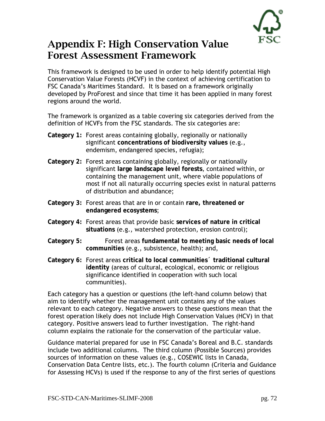### Appendix F: High Conservation Value Forest Assessment Framework

This framework is designed to be used in order to help identify potential High Conservation Value Forests (HCVF) in the context of achieving certification to FSC Canada's Maritimes Standard. It is based on a framework originally developed by ProForest and since that time it has been applied in many forest regions around the world.

The framework is organized as a table covering six categories derived from the definition of HCVFs from the FSC standards. The six categories are:

- **Category 1:** Forest areas containing globally, regionally or nationally significant **concentrations of biodiversity values** (e.g., endemism, endangered species, refugia);
- **Category 2:** Forest areas containing globally, regionally or nationally significant **large landscape level forests**, contained within, or containing the management unit, where viable populations of most if not all naturally occurring species exist in natural patterns of distribution and abundance;
- **Category 3:** Forest areas that are in or contain **rare, threatened or endangered ecosystems**;
- **Category 4:** Forest areas that provide basic **services of nature in critical situations** (e.g., watershed protection, erosion control);
- **Category 5:** Forest areas **fundamental to meeting basic needs of local communities** (e.g., subsistence, health); and,
- **Category 6:** Forest areas **critical to local communities´ traditional cultural identity** (areas of cultural, ecological, economic or religious significance identified in cooperation with such local communities).

Each category has a question or questions (the left-hand column below) that aim to identify whether the management unit contains any of the values relevant to each category. Negative answers to these questions mean that the forest operation likely does not include High Conservation Values (HCV) in that category. Positive answers lead to further investigation. The right-hand column explains the rationale for the conservation of the particular value.

Guidance material prepared for use in FSC Canada's Boreal and B.C. standards include two additional columns. The third column (Possible Sources) provides sources of information on these values (e.g., COSEWIC lists in Canada, Conservation Data Centre lists, etc.). The fourth column (Criteria and Guidance for Assessing HCVs) is used if the response to any of the first series of questions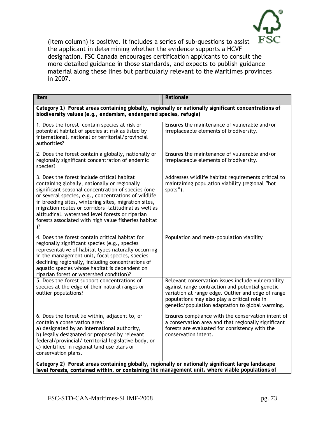

(Item column) is positive. It includes a series of sub-questions to assist the applicant in determining whether the evidence supports a HCVF designation. FSC Canada encourages certification applicants to consult the more detailed guidance in those standards, and expects to publish guidance material along these lines but particularly relevant to the Maritimes provinces in 2007.

| Item                                                                                                                                                                                                                                                                                                                                                                                                                                             | Rationale                                                                                                                                                                                                                                                       |
|--------------------------------------------------------------------------------------------------------------------------------------------------------------------------------------------------------------------------------------------------------------------------------------------------------------------------------------------------------------------------------------------------------------------------------------------------|-----------------------------------------------------------------------------------------------------------------------------------------------------------------------------------------------------------------------------------------------------------------|
| Category 1) Forest areas containing globally, regionally or nationally significant concentrations of<br>biodiversity values (e.g., endemism, endangered species, refugia)                                                                                                                                                                                                                                                                        |                                                                                                                                                                                                                                                                 |
| 1. Does the forest contain species at risk or<br>potential habitat of species at risk as listed by<br>international, national or territorial/provincial<br>authorities?                                                                                                                                                                                                                                                                          | Ensures the maintenance of vulnerable and/or<br>irreplaceable elements of biodiversity.                                                                                                                                                                         |
| 2. Does the forest contain a globally, nationally or<br>regionally significant concentration of endemic<br>species?                                                                                                                                                                                                                                                                                                                              | Ensures the maintenance of vulnerable and/or<br>irreplaceable elements of biodiversity.                                                                                                                                                                         |
| 3. Does the forest include critical habitat<br>containing globally, nationally or regionally<br>significant seasonal concentration of species (one<br>or several species, e.g., concentrations of wildlife<br>in breeding sites, wintering sites, migration sites,<br>migration routes or corridors -latitudinal as well as<br>altitudinal, watershed level forests or riparian<br>forests associated with high value fisheries habitat<br>$)$ ? | Addresses wildlife habitat requirements critical to<br>maintaining population viability (regional "hot<br>spots").                                                                                                                                              |
| 4. Does the forest contain critical habitat for<br>regionally significant species (e.g., species<br>representative of habitat types naturally occurring<br>in the management unit, focal species, species<br>declining regionally, including concentrations of<br>aquatic species whose habitat is dependent on<br>riparian forest or watershed condition)?                                                                                      | Population and meta-population viability                                                                                                                                                                                                                        |
| 5. Does the forest support concentrations of<br>species at the edge of their natural ranges or<br>outlier populations?                                                                                                                                                                                                                                                                                                                           | Relevant conservation issues include vulnerability<br>against range contraction and potential genetic<br>variation at range edge. Outlier and edge of range<br>populations may also play a critical role in<br>genetic/population adaptation to global warming. |
| 6. Does the forest lie within, adjacent to, or<br>contain a conservation area:<br>a) designated by an international authority,<br>b) legally designated or proposed by relevant<br>federal/provincial/ territorial legislative body, or<br>c) identified in regional land use plans or<br>conservation plans.                                                                                                                                    | Ensures compliance with the conservation intent of<br>a conservation area and that regionally significant<br>forests are evaluated for consistency with the<br>conservation intent.                                                                             |
| Category 2) Forest areas containing globally, regionally or nationally significant large landscape<br>level forests, contained within, or containing the management unit, where viable populations of                                                                                                                                                                                                                                            |                                                                                                                                                                                                                                                                 |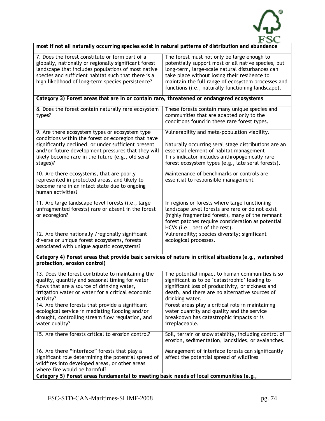

| <b>TOX</b>                                                                                          |
|-----------------------------------------------------------------------------------------------------|
| most if not all naturally occurring species exist in natural patterns of distribution and abundance |
|                                                                                                     |

| 7. Does the forest constitute or form part of a<br>globally, nationally or regionally significant forest<br>landscape that includes populations of most native<br>species and sufficient habitat such that there is a                                                               | The forest must not only be large enough to<br>potentially support most or all native species, but<br>long-term, large-scale natural disturbances can<br>take place without losing their resilience to                                                  |  |
|-------------------------------------------------------------------------------------------------------------------------------------------------------------------------------------------------------------------------------------------------------------------------------------|---------------------------------------------------------------------------------------------------------------------------------------------------------------------------------------------------------------------------------------------------------|--|
| high likelihood of long-term species persistence?                                                                                                                                                                                                                                   | maintain the full range of ecosystem processes and<br>functions (i.e., naturally functioning landscape).                                                                                                                                                |  |
| Category 3) Forest areas that are in or contain rare, threatened or endangered ecosystems                                                                                                                                                                                           |                                                                                                                                                                                                                                                         |  |
| 8. Does the forest contain naturally rare ecosystem<br>types?                                                                                                                                                                                                                       | These forests contain many unique species and<br>communities that are adapted only to the<br>conditions found in these rare forest types.                                                                                                               |  |
| 9. Are there ecosystem types or ecosystem type<br>conditions within the forest or ecoregion that have<br>significantly declined, or under sufficient present<br>and/or future development pressures that they will<br>likely become rare in the future (e.g., old seral<br>stages)? | Vulnerability and meta-population viability.<br>Naturally occurring seral stage distributions are an<br>essential element of habitat management<br>This indicator includes anthropogenically rare<br>forest ecosystem types (e.g., late seral forests). |  |
| 10. Are there ecosystems, that are poorly<br>represented in protected areas, and likely to<br>become rare in an intact state due to ongoing<br>human activities?                                                                                                                    | Maintenance of benchmarks or controls are<br>essential to responsible management                                                                                                                                                                        |  |
| 11. Are large landscape level forests (i.e., large<br>unfragmented forests) rare or absent in the forest<br>or ecoregion?                                                                                                                                                           | In regions or forests where large functioning<br>landscape level forests are rare or do not exist<br>(highly fragmented forest), many of the remnant<br>forest patches require consideration as potential<br>HCVs (i.e., best of the rest).             |  |
| 12. Are there nationally /regionally significant<br>diverse or unique forest ecosystems, forests<br>associated with unique aquatic ecosystems?                                                                                                                                      | Vulnerability; species diversity; significant<br>ecological processes.                                                                                                                                                                                  |  |
| Category 4) Forest areas that provide basic services of nature in critical situations (e.g., watershed<br>protection, erosion control)                                                                                                                                              |                                                                                                                                                                                                                                                         |  |
| 13. Does the forest contribute to maintaining the<br>quality, quantity and seasonal timing for water<br>flows that are a source of drinking water,<br>irrigation water or water for a critical economic<br>activity?                                                                | The potential impact to human communities is so<br>significant as to be 'catastrophic' leading to<br>significant loss of productivity, or sickness and<br>death, and there are no alternative sources of<br>drinking water.                             |  |
| 14. Are there forests that provide a significant<br>ecological service in mediating flooding and/or<br>drought, controlling stream flow regulation, and<br>water quality?                                                                                                           | Forest areas play a critical role in maintaining<br>water quantity and quality and the service<br>breakdown has catastrophic impacts or is<br>irreplaceable.                                                                                            |  |
| 15. Are there forests critical to erosion control?                                                                                                                                                                                                                                  | Soil, terrain or snow stability, including control of<br>erosion, sedimentation, landslides, or avalanches.                                                                                                                                             |  |
| 16. Are there "interface" forests that play a<br>significant role determining the potential spread of<br>wildfires into developed areas, or other areas<br>where fire would be harmful?<br>Category 5) Forest areas fundamental to meeting basic needs of local communities (e.g.,  | Management of interface forests can significantly<br>affect the potential spread of wildfires                                                                                                                                                           |  |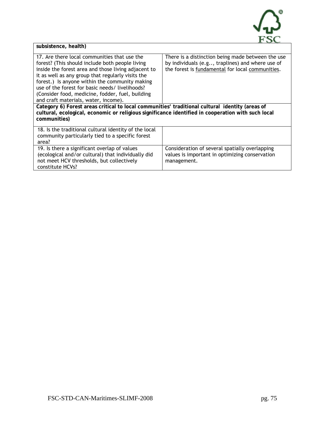

| subsistence, health) |
|----------------------|

| 17. Are there local communities that use the<br>forest? (This should include both people living<br>inside the forest area and those living adjacent to<br>it as well as any group that regularly visits the<br>forest.) Is anyone within the community making<br>use of the forest for basic needs/ livelihoods?<br>(Consider food, medicine, fodder, fuel, building<br>and craft materials, water, income). | There is a distinction being made between the use<br>by individuals (e.g, traplines) and where use of<br>the forest is fundamental for local communities. |  |  |
|--------------------------------------------------------------------------------------------------------------------------------------------------------------------------------------------------------------------------------------------------------------------------------------------------------------------------------------------------------------------------------------------------------------|-----------------------------------------------------------------------------------------------------------------------------------------------------------|--|--|
| Category 6) Forest areas critical to local communities' traditional cultural identity (areas of<br>cultural, ecological, economic or religious significance identified in cooperation with such local<br>communities)                                                                                                                                                                                        |                                                                                                                                                           |  |  |
| 18. Is the traditional cultural identity of the local<br>community particularly tied to a specific forest<br>area?                                                                                                                                                                                                                                                                                           |                                                                                                                                                           |  |  |
| 19. Is there a significant overlap of values<br>(ecological and/or cultural) that individually did<br>not meet HCV thresholds, but collectively<br>constitute HCVs?                                                                                                                                                                                                                                          | Consideration of several spatially overlapping<br>values is important in optimizing conservation<br>management.                                           |  |  |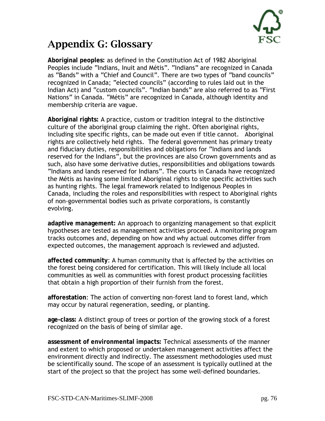

## Appendix G: Glossary

**Aboriginal peoples:** as defined in the Constitution Act of 1982 Aboriginal Peoples include "Indians, Inuit and Métis". "Indians" are recognized in Canada as "Bands" with a "Chief and Council". There are two types of "band councils" recognized in Canada; "elected councils" (according to rules laid out in the Indian Act) and "custom councils". "Indian bands" are also referred to as "First Nations" in Canada. "Métis" are recognized in Canada, although identity and membership criteria are vague.

**Aboriginal rights:** A practice, custom or tradition integral to the distinctive culture of the aboriginal group claiming the right. Often aboriginal rights, including site specific rights, can be made out even if title cannot. Aboriginal rights are collectively held rights. The federal government has primary treaty and fiduciary duties, responsibilities and obligations for "Indians and lands reserved for the Indians", but the provinces are also Crown governments and as such, also have some derivative duties, responsibilities and obligations towards "Indians and lands reserved for Indians". The courts in Canada have recognized the Métis as having some limited Aboriginal rights to site specific activities such as hunting rights. The legal framework related to Indigenous Peoples in Canada, including the roles and responsibilities with respect to Aboriginal rights of non-governmental bodies such as private corporations, is constantly evolving.

**adaptive management:** An approach to organizing management so that explicit hypotheses are tested as management activities proceed. A monitoring program tracks outcomes and, depending on how and why actual outcomes differ from expected outcomes, the management approach is reviewed and adjusted.

**affected community**: A human community that is affected by the activities on the forest being considered for certification. This will likely include all local communities as well as communities with forest product processing facilities that obtain a high proportion of their furnish from the forest.

**afforestation**: The action of converting non-forest land to forest land, which may occur by natural regeneration, seeding, or planting.

**age-class:** A distinct group of trees or portion of the growing stock of a forest recognized on the basis of being of similar age.

**assessment of environmental impacts:** Technical assessments of the manner and extent to which proposed or undertaken management activities affect the environment directly and indirectly. The assessment methodologies used must be scientifically sound. The scope of an assessment is typically outlined at the start of the project so that the project has some well-defined boundaries.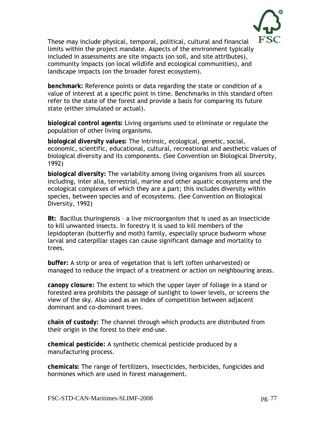

These may include physical, temporal, political, cultural and financial limits within the project mandate. Aspects of the environment typically included in assessments are site impacts (on soil, and site attributes), community impacts (on local wildlife and ecological communities), and landscape impacts (on the broader forest ecosystem).

**benchmark:** Reference points or data regarding the state or condition of a value of interest at a specific point in time. Benchmarks in this standard often refer to the state of the forest and provide a basis for comparing its future state (either simulated or actual).

**biological control agents:** Living organisms used to eliminate or regulate the population of other living organisms.

**biological diversity values:** The intrinsic, ecological, genetic, social, economic, scientific, educational, cultural, recreational and aesthetic values of biological diversity and its components. (See Convention on Biological Diversity, 1992)

**biological diversity:** The variability among living organisms from all sources including, inter alia, terrestrial, marine and other aquatic ecosystems and the ecological complexes of which they are a part; this includes diversity within species, between species and of ecosystems. (See Convention on Biological Diversity, 1992)

**Bt:** Bacillus thuringiensis – a live microorganism that is used as an insecticide to kill unwanted insects. In forestry it is used to kill members of the lepidopteran (butterfly and moth) family, especially spruce budworm whose larval and caterpillar stages can cause significant damage and mortality to trees.

**buffer:** A strip or area of vegetation that is left (often unharvested) or managed to reduce the impact of a treatment or action on neighbouring areas.

**canopy closure:** The extent to which the upper layer of foliage in a stand or forested area prohibits the passage of sunlight to lower levels, or screens the view of the sky. Also used as an index of competition between adjacent dominant and co-dominant trees.

**chain of custody:** The channel through which products are distributed from their origin in the forest to their end-use.

**chemical pesticide:** A synthetic chemical pesticide produced by a manufacturing process.

**chemicals:** The range of fertilizers, insecticides, herbicides, fungicides and hormones which are used in forest management.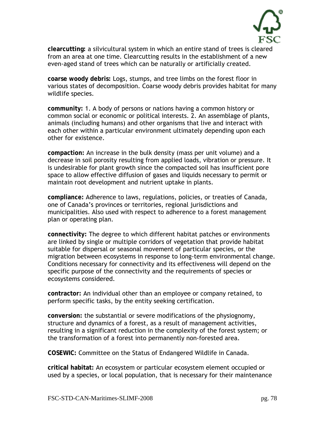

**clearcutting:** a silvicultural system in which an entire stand of trees is cleared from an area at one time. Clearcutting results in the establishment of a new even-aged stand of trees which can be naturally or artificially created.

**coarse woody debris:** Logs, stumps, and tree limbs on the forest floor in various states of decomposition. Coarse woody debris provides habitat for many wildlife species.

**community:** 1. A body of persons or nations having a common history or common social or economic or political interests. 2. An assemblage of plants, animals (including humans) and other organisms that live and interact with each other within a particular environment ultimately depending upon each other for existence.

**compaction:** An increase in the bulk density (mass per unit volume) and a decrease in soil porosity resulting from applied loads, vibration or pressure. It is undesirable for plant growth since the compacted soil has insufficient pore space to allow effective diffusion of gases and liquids necessary to permit or maintain root development and nutrient uptake in plants.

**compliance:** Adherence to laws, regulations, policies, or treaties of Canada, one of Canada's provinces or territories, regional jurisdictions and municipalities. Also used with respect to adherence to a forest management plan or operating plan.

**connectivity:** The degree to which different habitat patches or environments are linked by single or multiple corridors of vegetation that provide habitat suitable for dispersal or seasonal movement of particular species, or the migration between ecosystems in response to long-term environmental change. Conditions necessary for connectivity and its effectiveness will depend on the specific purpose of the connectivity and the requirements of species or ecosystems considered.

**contractor:** An individual other than an employee or company retained, to perform specific tasks, by the entity seeking certification.

**conversion:** the substantial or severe modifications of the physiognomy, structure and dynamics of a forest, as a result of management activities, resulting in a significant reduction in the complexity of the forest system; or the transformation of a forest into permanently non-forested area.

**COSEWIC:** Committee on the Status of Endangered Wildlife in Canada.

**critical habitat:** An ecosystem or particular ecosystem element occupied or used by a species, or local population, that is necessary for their maintenance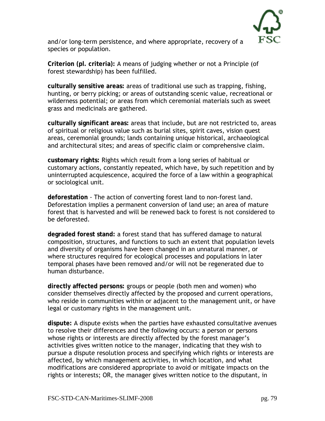

and/or long-term persistence, and where appropriate, recovery of a species or population.

**Criterion (pl. criteria):** A means of judging whether or not a Principle (of forest stewardship) has been fulfilled.

**culturally sensitive areas:** areas of traditional use such as trapping, fishing, hunting, or berry picking; or areas of outstanding scenic value, recreational or wilderness potential; or areas from which ceremonial materials such as sweet grass and medicinals are gathered.

**culturally significant areas:** areas that include, but are not restricted to, areas of spiritual or religious value such as burial sites, spirit caves, vision quest areas, ceremonial grounds; lands containing unique historical, archaeological and architectural sites; and areas of specific claim or comprehensive claim.

**customary rights:** Rights which result from a long series of habitual or customary actions, constantly repeated, which have, by such repetition and by uninterrupted acquiescence, acquired the force of a law within a geographical or sociological unit.

**deforestation** - The action of converting forest land to non-forest land. Deforestation implies a permanent conversion of land use; an area of mature forest that is harvested and will be renewed back to forest is not considered to be deforested.

**degraded forest stand:** a forest stand that has suffered damage to natural composition, structures, and functions to such an extent that population levels and diversity of organisms have been changed in an unnatural manner, or where structures required for ecological processes and populations in later temporal phases have been removed and/or will not be regenerated due to human disturbance.

**directly affected persons:** groups or people (both men and women) who consider themselves directly affected by the proposed and current operations, who reside in communities within or adjacent to the management unit, or have legal or customary rights in the management unit.

**dispute:** A dispute exists when the parties have exhausted consultative avenues to resolve their differences and the following occurs: a person or persons whose rights or interests are directly affected by the forest manager's activities gives written notice to the manager, indicating that they wish to pursue a dispute resolution process and specifying which rights or interests are affected, by which management activities, in which location, and what modifications are considered appropriate to avoid or mitigate impacts on the rights or interests; OR, the manager gives written notice to the disputant, in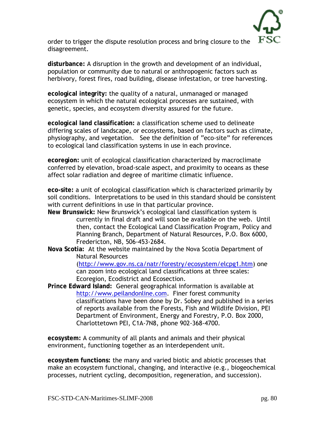

order to trigger the dispute resolution process and bring closure to the disagreement.

**disturbance:** A disruption in the growth and development of an individual, population or community due to natural or anthropogenic factors such as herbivory, forest fires, road building, disease infestation, or tree harvesting.

**ecological integrity:** the quality of a natural, unmanaged or managed ecosystem in which the natural ecological processes are sustained, with genetic, species, and ecosystem diversity assured for the future.

**ecological land classification:** a classification scheme used to delineate differing scales of landscape, or ecosystems, based on factors such as climate, physiography, and vegetation. See the definition of "eco-site" for references to ecological land classification systems in use in each province.

**ecoregion:** unit of ecological classification characterized by macroclimate conferred by elevation, broad-scale aspect, and proximity to oceans as these affect solar radiation and degree of maritime climatic influence.

**eco-site:** a unit of ecological classification which is characterized primarily by soil conditions. Interpretations to be used in this standard should be consistent with current definitions in use in that particular province.

- **New Brunswick:** New Brunswick's ecological land classification system is currently in final draft and will soon be available on the web. Until then, contact the Ecological Land Classification Program, Policy and Planning Branch, Department of Natural Resources, P.O. Box 6000, Fredericton, NB, 506-453-2684.
- **Nova Scotia:** At the website maintained by the Nova Scotia Department of Natural Resources

[\(http://www.gov.ns.ca/natr/forestry/ecosystem/elcpg1.htm](http://www.gov.ns.ca/natr/forestry/ecosystem/elcpg1.htm)) one can zoom into ecological land classifications at three scales: Ecoregion, Ecodistrict and Ecosection.

**Prince Edward Island:** General geographical information is available at [http://www.peilandonline.com](http://www.peilandonline.com/). Finer forest community classifications have been done by Dr. Sobey and published in a series of reports available from the Forests, Fish and Wildlife Division, PEI Department of Environment, Energy and Forestry, P.O. Box 2000, Charlottetown PEI, C1A-7N8, phone 902-368-4700.

**ecosystem:** A community of all plants and animals and their physical environment, functioning together as an interdependent unit.

**ecosystem functions:** the many and varied biotic and abiotic processes that make an ecosystem functional, changing, and interactive (e.g., biogeochemical processes, nutrient cycling, decomposition, regeneration, and succession).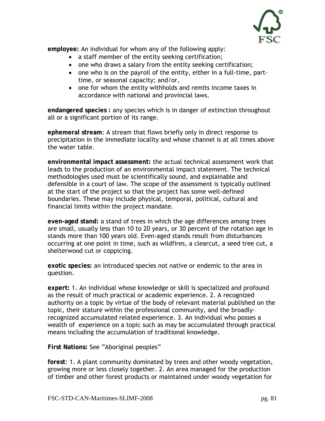

**employee:** An individual for whom any of the following apply:

- a staff member of the entity seeking certification;
- one who draws a salary from the entity seeking certification;
- one who is on the payroll of the entity, either in a full-time, parttime, or seasonal capacity; and/or,
- one for whom the entity withholds and remits income taxes in accordance with national and provincial laws.

**endangered species :** any species which is in danger of extinction throughout all or a significant portion of its range.

**ephemeral stream**: A stream that flows briefly only in direct response to precipitation in the immediate locality and whose channel is at all times above the water table.

**environmental impact assessment:** the actual technical assessment work that leads to the production of an environmental impact statement. The technical methodologies used must be scientifically sound, and explainable and defensible in a court of law. The scope of the assessment is typically outlined at the start of the project so that the project has some well-defined boundaries. These may include physical, temporal, political, cultural and financial limits within the project mandate.

**even-aged stand:** a stand of trees in which the age differences among trees are small, usually less than 10 to 20 years, or 30 percent of the rotation age in stands more than 100 years old. Even-aged stands result from disturbances occurring at one point in time, such as wildfires, a clearcut, a seed tree cut, a shelterwood cut or coppicing.

**exotic species:** an introduced species not native or endemic to the area in question.

**expert:** 1. An individual whose knowledge or skill is specialized and profound as the result of much practical or academic experience. 2. A recognized authority on a topic by virtue of the body of relevant material published on the topic, their stature within the professional community, and the broadlyrecognized accumulated related experience. 3. An individual who posses a wealth of experience on a topic such as may be accumulated through practical means including the accumulation of traditional knowledge.

**First Nations:** See "Aboriginal peoples"

**forest**: 1. A plant community dominated by trees and other woody vegetation, growing more or less closely together. 2. An area managed for the production of timber and other forest products or maintained under woody vegetation for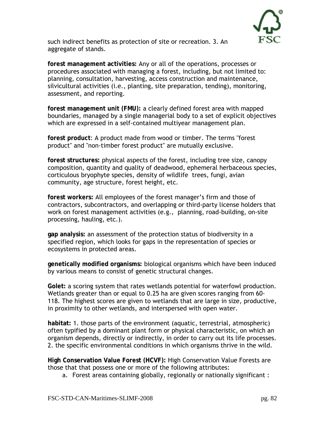

such indirect benefits as protection of site or recreation. 3. An aggregate of stands.

**forest management activities:** Any or all of the operations, processes or procedures associated with managing a forest, including, but not limited to: planning, consultation, harvesting, access construction and maintenance, silvicultural activities (i.e., planting, site preparation, tending), monitoring, assessment, and reporting.

**forest management unit (FMU):** a clearly defined forest area with mapped boundaries, managed by a single managerial body to a set of explicit objectives which are expressed in a self-contained multiyear management plan.

**forest product**: A product made from wood or timber. The terms "forest product" and "non-timber forest product" are mutually exclusive.

**forest structures:** physical aspects of the forest, including tree size, canopy composition, quantity and quality of deadwood, ephemeral herbaceous species, corticulous bryophyte species, density of wildlife trees, fungi, avian community, age structure, forest height, etc.

**forest workers:** All employees of the forest manager's firm and those of contractors, subcontractors, and overlapping or third-party license holders that work on forest management activities (e.g., planning, road-building, on-site processing, hauling, etc.).

**gap analysis:** an assessment of the protection status of biodiversity in a specified region, which looks for gaps in the representation of species or ecosystems in protected areas.

**genetically modified organisms:** biological organisms which have been induced by various means to consist of genetic structural changes.

**Golet:** a scoring system that rates wetlands potential for waterfowl production. Wetlands greater than or equal to 0.25 ha are given scores ranging from 60- 118. The highest scores are given to wetlands that are large in size, productive, in proximity to other wetlands, and interspersed with open water.

**habitat:** 1. those parts of the environment (aquatic, terrestrial, atmospheric) often typified by a dominant plant form or physical characteristic, on which an organism depends, directly or indirectly, in order to carry out its life processes. 2. the specific environmental conditions in which organisms thrive in the wild.

**High Conservation Value Forest (HCVF):** High Conservation Value Forests are those that that possess one or more of the following attributes:

a. Forest areas containing globally, regionally or nationally significant :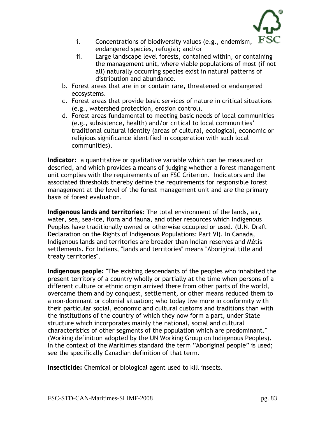

- i. Concentrations of biodiversity values (e.g., endemism, endangered species, refugia); and/or
- ii. Large landscape level forests, contained within, or containing the management unit, where viable populations of most (if not all) naturally occurring species exist in natural patterns of distribution and abundance.
- b. Forest areas that are in or contain rare, threatened or endangered ecosystems.
- c. Forest areas that provide basic services of nature in critical situations (e.g., watershed protection, erosion control).
- d. Forest areas fundamental to meeting basic needs of local communities (e.g., subsistence, health) and/or critical to local communities' traditional cultural identity (areas of cultural, ecological, economic or religious significance identified in cooperation with such local communities).

**Indicator:** a quantitative or qualitative variable which can be measured or descried, and which provides a means of judging whether a forest management unit complies with the requirements of an FSC Criterion. Indicators and the associated thresholds thereby define the requirements for responsible forest management at the level of the forest management unit and are the primary basis of forest evaluation.

**Indigenous lands and territories**: The total environment of the lands, air, water, sea, sea-ice, flora and fauna, and other resources which Indigenous Peoples have traditionally owned or otherwise occupied or used. (U.N. Draft Declaration on the Rights of Indigenous Populations: Part VI). In Canada, Indigenous lands and territories are broader than Indian reserves and Métis settlements. For Indians, "lands and territories" means "Aboriginal title and treaty territories".

**Indigenous people:** "The existing descendants of the peoples who inhabited the present territory of a country wholly or partially at the time when persons of a different culture or ethnic origin arrived there from other parts of the world, overcame them and by conquest, settlement, or other means reduced them to a non-dominant or colonial situation; who today live more in conformity with their particular social, economic and cultural customs and traditions than with the institutions of the country of which they now form a part, under State structure which incorporates mainly the national, social and cultural characteristics of other segments of the population which are predominant." (Working definition adopted by the UN Working Group on Indigenous Peoples). In the context of the Maritimes standard the term "Aboriginal people" is used; see the specifically Canadian definition of that term.

**insecticide:** Chemical or biological agent used to kill insects.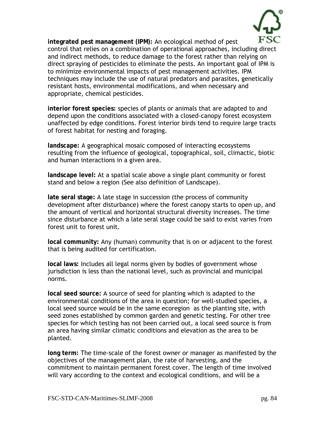

**integrated pest management (IPM):** An ecological method of pest control that relies on a combination of operational approaches, including direct and indirect methods, to reduce damage to the forest rather than relying on direct spraying of pesticides to eliminate the pests. An important goal of IPM is to minimize environmental impacts of pest management activities. IPM techniques may include the use of natural predators and parasites, genetically resistant hosts, environmental modifications, and when necessary and appropriate, chemical pesticides.

**interior forest species:** species of plants or animals that are adapted to and depend upon the conditions associated with a closed-canopy forest ecosystem unaffected by edge conditions. Forest interior birds tend to require large tracts of forest habitat for nesting and foraging.

**landscape:** A geographical mosaic composed of interacting ecosystems resulting from the influence of geological, topographical, soil, climactic, biotic and human interactions in a given area.

**landscape level:** At a spatial scale above a single plant community or forest stand and below a region (See also definition of Landscape).

**late seral stage:** A late stage in succession (the process of community development after disturbance) where the forest canopy starts to open up, and the amount of vertical and horizontal structural diversity increases. The time since disturbance at which a late seral stage could be said to exist varies from forest unit to forest unit.

**local community:** Any (human) community that is on or adjacent to the forest that is being audited for certification.

**local laws:** Includes all legal norms given by bodies of government whose jurisdiction is less than the national level, such as provincial and municipal norms.

**local seed source:** A source of seed for planting which is adapted to the environmental conditions of the area in question; for well-studied species, a local seed source would be in the same ecoregion as the planting site, with seed zones established by common garden and genetic testing. For other tree species for which testing has not been carried out, a local seed source is from an area having similar climatic conditions and elevation as the area to be planted.

**long term:** The time-scale of the forest owner or manager as manifested by the objectives of the management plan, the rate of harvesting, and the commitment to maintain permanent forest cover. The length of time involved will vary according to the context and ecological conditions, and will be a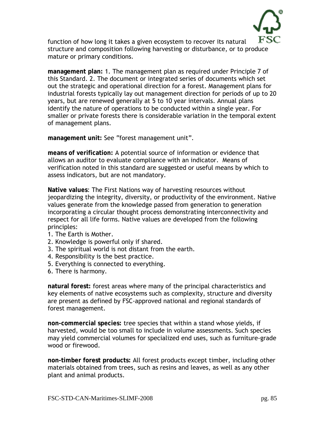

function of how long it takes a given ecosystem to recover its natural structure and composition following harvesting or disturbance, or to produce mature or primary conditions.

**management plan:** 1. The management plan as required under Principle 7 of this Standard. 2. The document or integrated series of documents which set out the strategic and operational direction for a forest. Management plans for industrial forests typically lay out management direction for periods of up to 20 years, but are renewed generally at 5 to 10 year intervals. Annual plans identify the nature of operations to be conducted within a single year. For smaller or private forests there is considerable variation in the temporal extent of management plans.

**management unit:** See "forest management unit".

**means of verification:** A potential source of information or evidence that allows an auditor to evaluate compliance with an indicator. Means of verification noted in this standard are suggested or useful means by which to assess indicators, but are not mandatory.

**Native values**: The First Nations way of harvesting resources without jeopardizing the integrity, diversity, or productivity of the environment. Native values generate from the knowledge passed from generation to generation incorporating a circular thought process demonstrating interconnectivity and respect for all life forms. Native values are developed from the following principles:

- 1. The Earth is Mother.
- 2. Knowledge is powerful only if shared.
- 3. The spiritual world is not distant from the earth.
- 4. Responsibility is the best practice.
- 5. Everything is connected to everything.
- 6. There is harmony.

**natural forest:** forest areas where many of the principal characteristics and key elements of native ecosystems such as complexity, structure and diversity are present as defined by FSC-approved national and regional standards of forest management.

**non-commercial species:** tree species that within a stand whose yields, if harvested, would be too small to include in volume assessments. Such species may yield commercial volumes for specialized end uses, such as furniture-grade wood or firewood.

**non-timber forest products:** All forest products except timber, including other materials obtained from trees, such as resins and leaves, as well as any other plant and animal products.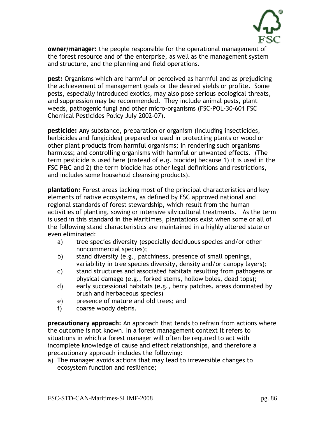

**owner/manager:** the people responsible for the operational management of the forest resource and of the enterprise, as well as the management system and structure, and the planning and field operations.

**pest:** Organisms which are harmful or perceived as harmful and as prejudicing the achievement of management goals or the desired yields or profite. Some pests, especially introduced exotics, may also pose serious ecological threats, and suppression may be recommended. They include animal pests, plant weeds, pathogenic fungi and other micro-organisms (FSC-POL-30-601 FSC Chemical Pesticides Policy July 2002-07).

**pesticide:** Any substance, preparation or organism (including insecticides, herbicides and fungicides) prepared or used in protecting plants or wood or other plant products from harmful organisms; in rendering such organisms harmless; and controlling organisms with harmful or unwanted effects. (The term pesticide is used here (instead of e.g. biocide) because 1) it is used in the FSC P&C and 2) the term biocide has other legal definitions and restrictions, and includes some household cleansing products).

**plantation:** Forest areas lacking most of the principal characteristics and key elements of native ecosystems, as defined by FSC approved national and regional standards of forest stewardship, which result from the human activities of planting, sowing or intensive silvicultural treatments. As the term is used in this standard in the Maritimes, plantations exist when some or all of the following stand characteristics are maintained in a highly altered state or even eliminated:

- a) tree species diversity (especially deciduous species and/or other noncommercial species);
- b) stand diversity (e.g., patchiness, presence of small openings, variability in tree species diversity, density and/or canopy layers);
- c) stand structures and associated habitats resulting from pathogens or physical damage (e.g., forked stems, hollow boles, dead tops);
- d) early successional habitats (e.g., berry patches, areas dominated by brush and herbaceous species)
- e) presence of mature and old trees; and
- f) coarse woody debris.

**precautionary approach:** An approach that tends to refrain from actions where the outcome is not known. In a forest management context it refers to situations in which a forest manager will often be required to act with incomplete knowledge of cause and effect relationships, and therefore a precautionary approach includes the following:

a) The manager avoids actions that may lead to irreversible changes to ecosystem function and resilience;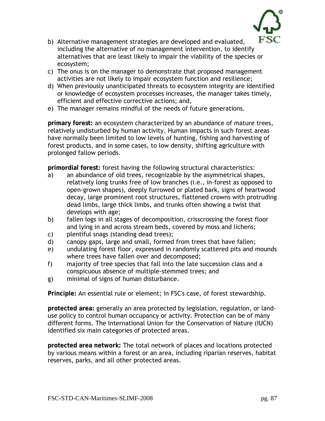

- b) Alternative management strategies are developed and evaluated, including the alternative of no management intervention, to identify alternatives that are least likely to impair the viability of the species or ecosystem;
- c) The onus is on the manager to demonstrate that proposed management activities are not likely to impair ecosystem function and resilience;
- d) When previously unanticipated threats to ecosystem integrity are identified or knowledge of ecosystem processes increases, the manager takes timely, efficient and effective corrective actions; and,
- e) The manager remains mindful of the needs of future generations.

**primary forest:** an ecosystem characterized by an abundance of mature trees, relatively undisturbed by human activity. Human impacts in such forest areas have normally been limited to low levels of hunting, fishing and harvesting of forest products, and in some cases, to low density, shifting agriculture with prolonged fallow periods.

**primordial forest:** forest having the following structural characteristics:

- a) an abundance of old trees, recognizable by the asymmetrical shapes, relatively long trunks free of low branches (i.e., in-forest as opposed to open-grown shapes), deeply furrowed or plated bark, signs of heartwood decay, large prominent root structures, flattened crowns with protruding dead limbs, large thick limbs, and trunks often showing a twist that develops with age;
- b) fallen logs in all stages of decomposition, crisscrossing the forest floor and lying in and across stream beds, covered by moss and lichens;
- c) plentiful snags (standing dead trees);
- d) canopy gaps, large and small, formed from trees that have fallen;
- e) undulating forest floor, expressed in randomly scattered pits and mounds where trees have fallen over and decomposed;
- f) majority of tree species that fall into the late succession class and a conspicuous absence of multiple-stemmed trees; and
- g) minimal of signs of human disturbance.

**Principle:** An essential rule or element; in FSC's case, of forest stewardship.

**protected area:** generally an area protected by legislation, regulation, or landuse policy to control human occupancy or activity. Protection can be of many different forms. The International Union for the Conservation of Nature (IUCN) identified six main categories of protected areas.

**protected area network:** The total network of places and locations protected by various means within a forest or an area, including riparian reserves, habitat reserves, parks, and all other protected areas.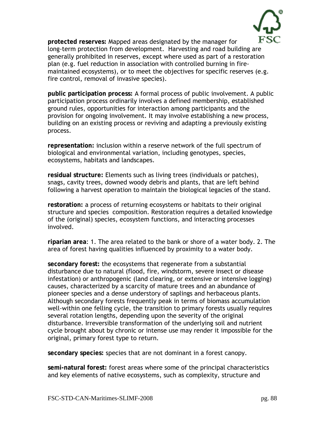

**protected reserves:** Mapped areas designated by the manager for long-term protection from development. Harvesting and road building are generally prohibited in reserves, except where used as part of a restoration plan (e.g. fuel reduction in association with controlled burning in firemaintained ecosystems), or to meet the objectives for specific reserves (e.g. fire control, removal of invasive species).

**public participation process:** A formal process of public involvement. A public participation process ordinarily involves a defined membership, established ground rules, opportunities for interaction among participants and the provision for ongoing involvement. It may involve establishing a new process, building on an existing process or reviving and adapting a previously existing process.

**representation:** inclusion within a reserve network of the full spectrum of biological and environmental variation, including genotypes, species, ecosystems, habitats and landscapes.

**residual structure:** Elements such as living trees (individuals or patches), snags, cavity trees, downed woody debris and plants, that are left behind following a harvest operation to maintain the biological legacies of the stand.

**restoration:** a process of returning ecosystems or habitats to their original structure and species composition. Restoration requires a detailed knowledge of the (original) species, ecosystem functions, and interacting processes involved.

**riparian area**: 1. The area related to the bank or shore of a water body. 2. The area of forest having qualities influenced by proximity to a water body.

**secondary forest:** the ecosystems that regenerate from a substantial disturbance due to natural (flood, fire, windstorm, severe insect or disease infestation) or anthropogenic (land clearing, or extensive or intensive logging) causes, characterized by a scarcity of mature trees and an abundance of pioneer species and a dense understory of saplings and herbaceous plants. Although secondary forests frequently peak in terms of biomass accumulation well-within one felling cycle, the transition to primary forests usually requires several rotation lengths, depending upon the severity of the original disturbance. Irreversible transformation of the underlying soil and nutrient cycle brought about by chronic or intense use may render it impossible for the original, primary forest type to return.

**secondary species:** species that are not dominant in a forest canopy.

**semi-natural forest:** forest areas where some of the principal characteristics and key elements of native ecosystems, such as complexity, structure and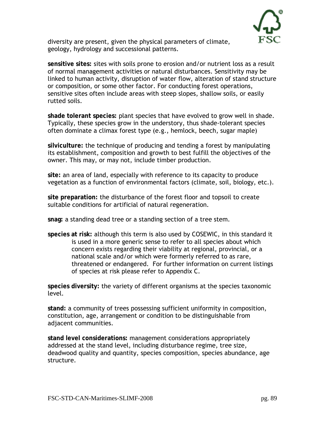

diversity are present, given the physical parameters of climate, geology, hydrology and successional patterns.

**sensitive sites:** sites with soils prone to erosion and/or nutrient loss as a result of normal management activities or natural disturbances. Sensitivity may be linked to human activity, disruption of water flow, alteration of stand structure or composition, or some other factor. For conducting forest operations, sensitive sites often include areas with steep slopes, shallow soils, or easily rutted soils.

**shade tolerant species:** plant species that have evolved to grow well in shade. Typically, these species grow in the understory, thus shade-tolerant species often dominate a climax forest type (e.g., hemlock, beech, sugar maple)

**silviculture:** the technique of producing and tending a forest by manipulating its establishment, composition and growth to best fulfill the objectives of the owner. This may, or may not, include timber production.

**site:** an area of land, especially with reference to its capacity to produce vegetation as a function of environmental factors (climate, soil, biology, etc.).

**site preparation:** the disturbance of the forest floor and topsoil to create suitable conditions for artificial of natural regeneration.

**snag:** a standing dead tree or a standing section of a tree stem.

**species at risk:** although this term is also used by COSEWIC, in this standard it is used in a more generic sense to refer to all species about which concern exists regarding their viability at regional, provincial, or a national scale and/or which were formerly referred to as rare, threatened or endangered. For further information on current listings of species at risk please refer to Appendix C.

**species diversity:** the variety of different organisms at the species taxonomic level.

**stand:** a community of trees possessing sufficient uniformity in composition, constitution, age, arrangement or condition to be distinguishable from adjacent communities.

**stand level considerations:** management considerations appropriately addressed at the stand level, including disturbance regime, tree size, deadwood quality and quantity, species composition, species abundance, age structure.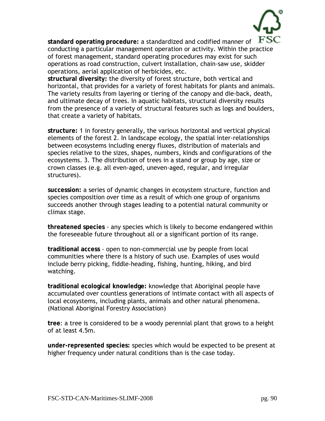

**standard operating procedure:** a standardized and codified manner of conducting a particular management operation or activity. Within the practice of forest management, standard operating procedures may exist for such operations as road construction, culvert installation, chain-saw use, skidder operations, aerial application of herbicides, etc.

**structural diversity:** the diversity of forest structure, both vertical and horizontal, that provides for a variety of forest habitats for plants and animals. The variety results from layering or tiering of the canopy and die-back, death, and ultimate decay of trees. In aquatic habitats, structural diversity results from the presence of a variety of structural features such as logs and boulders, that create a variety of habitats.

**structure:** 1 in forestry generally, the various horizontal and vertical physical elements of the forest 2. In landscape ecology, the spatial inter-relationships between ecosystems including energy fluxes, distribution of materials and species relative to the sizes, shapes, numbers, kinds and configurations of the ecosystems. 3. The distribution of trees in a stand or group by age, size or crown classes (e.g. all even-aged, uneven-aged, regular, and irregular structures).

**succession:** a series of dynamic changes in ecosystem structure, function and species composition over time as a result of which one group of organisms succeeds another through stages leading to a potential natural community or climax stage.

**threatened species** - any species which is likely to become endangered within the foreseeable future throughout all or a significant portion of its range.

**traditional access** - open to non-commercial use by people from local communities where there is a history of such use. Examples of uses would include berry picking, fiddle-heading, fishing, hunting, hiking, and bird watching.

**traditional ecological knowledge:** knowledge that Aboriginal people have accumulated over countless generations of intimate contact with all aspects of local ecosystems, including plants, animals and other natural phenomena. (National Aboriginal Forestry Association)

**tree**: a tree is considered to be a woody perennial plant that grows to a height of at least 4.5m.

**under-represented species:** species which would be expected to be present at higher frequency under natural conditions than is the case today.